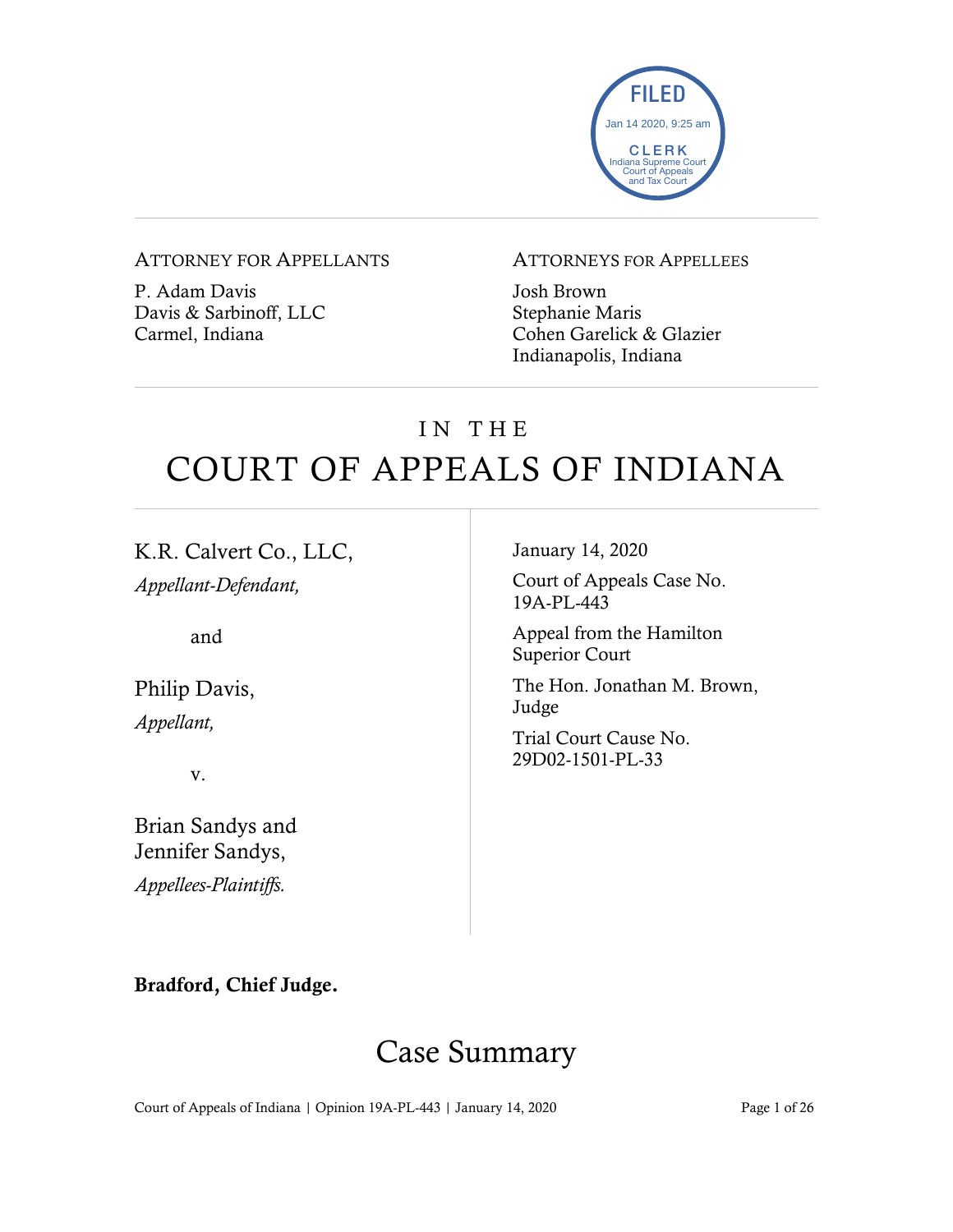

#### ATTORNEY FOR APPELLANTS

P. Adam Davis Davis & Sarbinoff, LLC Carmel, Indiana

#### ATTORNEYS FOR APPELLEES

Josh Brown Stephanie Maris Cohen Garelick & Glazier Indianapolis, Indiana

# IN THE COURT OF APPEALS OF INDIANA

K.R. Calvert Co., LLC, *Appellant-Defendant,*

and

Philip Davis, *Appellant,*

v.

Brian Sandys and Jennifer Sandys, *Appellees-Plaintiffs.*

January 14, 2020

Court of Appeals Case No. 19A-PL-443

Appeal from the Hamilton Superior Court

The Hon. Jonathan M. Brown, Judge

Trial Court Cause No. 29D02-1501-PL-33

#### Bradford, Chief Judge.

## Case Summary

Court of Appeals of Indiana | Opinion 19A-PL-443 | January 14, 2020 Page 1 of 26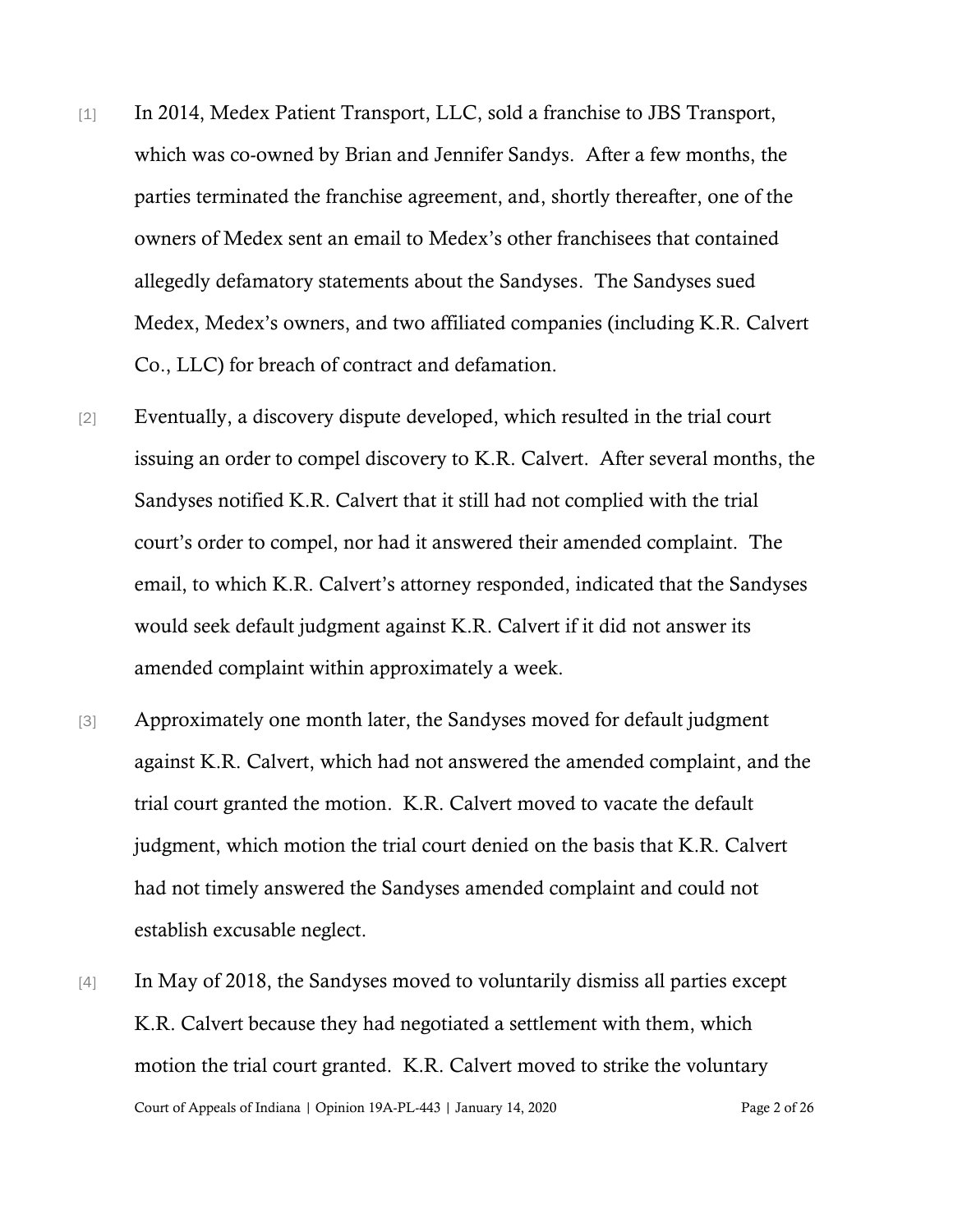- [1] In 2014, Medex Patient Transport, LLC, sold a franchise to JBS Transport, which was co-owned by Brian and Jennifer Sandys. After a few months, the parties terminated the franchise agreement, and, shortly thereafter, one of the owners of Medex sent an email to Medex's other franchisees that contained allegedly defamatory statements about the Sandyses. The Sandyses sued Medex, Medex's owners, and two affiliated companies (including K.R. Calvert Co., LLC) for breach of contract and defamation.
- [2] Eventually, a discovery dispute developed, which resulted in the trial court issuing an order to compel discovery to K.R. Calvert. After several months, the Sandyses notified K.R. Calvert that it still had not complied with the trial court's order to compel, nor had it answered their amended complaint. The email, to which K.R. Calvert's attorney responded, indicated that the Sandyses would seek default judgment against K.R. Calvert if it did not answer its amended complaint within approximately a week.
- [3] Approximately one month later, the Sandyses moved for default judgment against K.R. Calvert, which had not answered the amended complaint, and the trial court granted the motion. K.R. Calvert moved to vacate the default judgment, which motion the trial court denied on the basis that K.R. Calvert had not timely answered the Sandyses amended complaint and could not establish excusable neglect.
- Court of Appeals of Indiana | Opinion 19A-PL-443 | January 14, 2020 Page 2 of 26 [4] In May of 2018, the Sandyses moved to voluntarily dismiss all parties except K.R. Calvert because they had negotiated a settlement with them, which motion the trial court granted. K.R. Calvert moved to strike the voluntary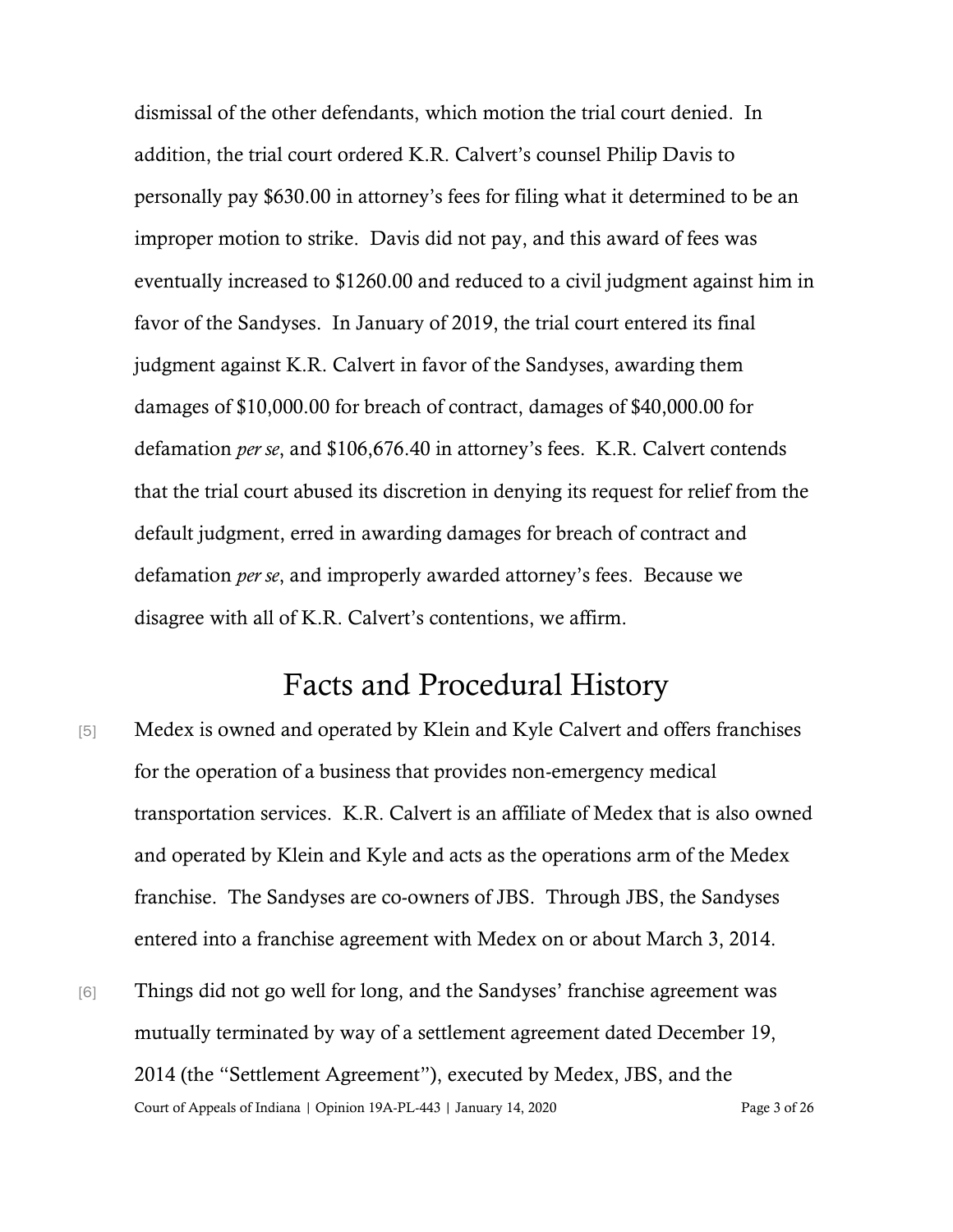dismissal of the other defendants, which motion the trial court denied. In addition, the trial court ordered K.R. Calvert's counsel Philip Davis to personally pay \$630.00 in attorney's fees for filing what it determined to be an improper motion to strike. Davis did not pay, and this award of fees was eventually increased to \$1260.00 and reduced to a civil judgment against him in favor of the Sandyses. In January of 2019, the trial court entered its final judgment against K.R. Calvert in favor of the Sandyses, awarding them damages of \$10,000.00 for breach of contract, damages of \$40,000.00 for defamation *per se*, and \$106,676.40 in attorney's fees. K.R. Calvert contends that the trial court abused its discretion in denying its request for relief from the default judgment, erred in awarding damages for breach of contract and defamation *per se*, and improperly awarded attorney's fees. Because we disagree with all of K.R. Calvert's contentions, we affirm.

### Facts and Procedural History

- [5] Medex is owned and operated by Klein and Kyle Calvert and offers franchises for the operation of a business that provides non-emergency medical transportation services. K.R. Calvert is an affiliate of Medex that is also owned and operated by Klein and Kyle and acts as the operations arm of the Medex franchise. The Sandyses are co-owners of JBS. Through JBS, the Sandyses entered into a franchise agreement with Medex on or about March 3, 2014.
- Court of Appeals of Indiana | Opinion 19A-PL-443 | January 14, 2020 Page 3 of 26 [6] Things did not go well for long, and the Sandyses' franchise agreement was mutually terminated by way of a settlement agreement dated December 19, 2014 (the "Settlement Agreement"), executed by Medex, JBS, and the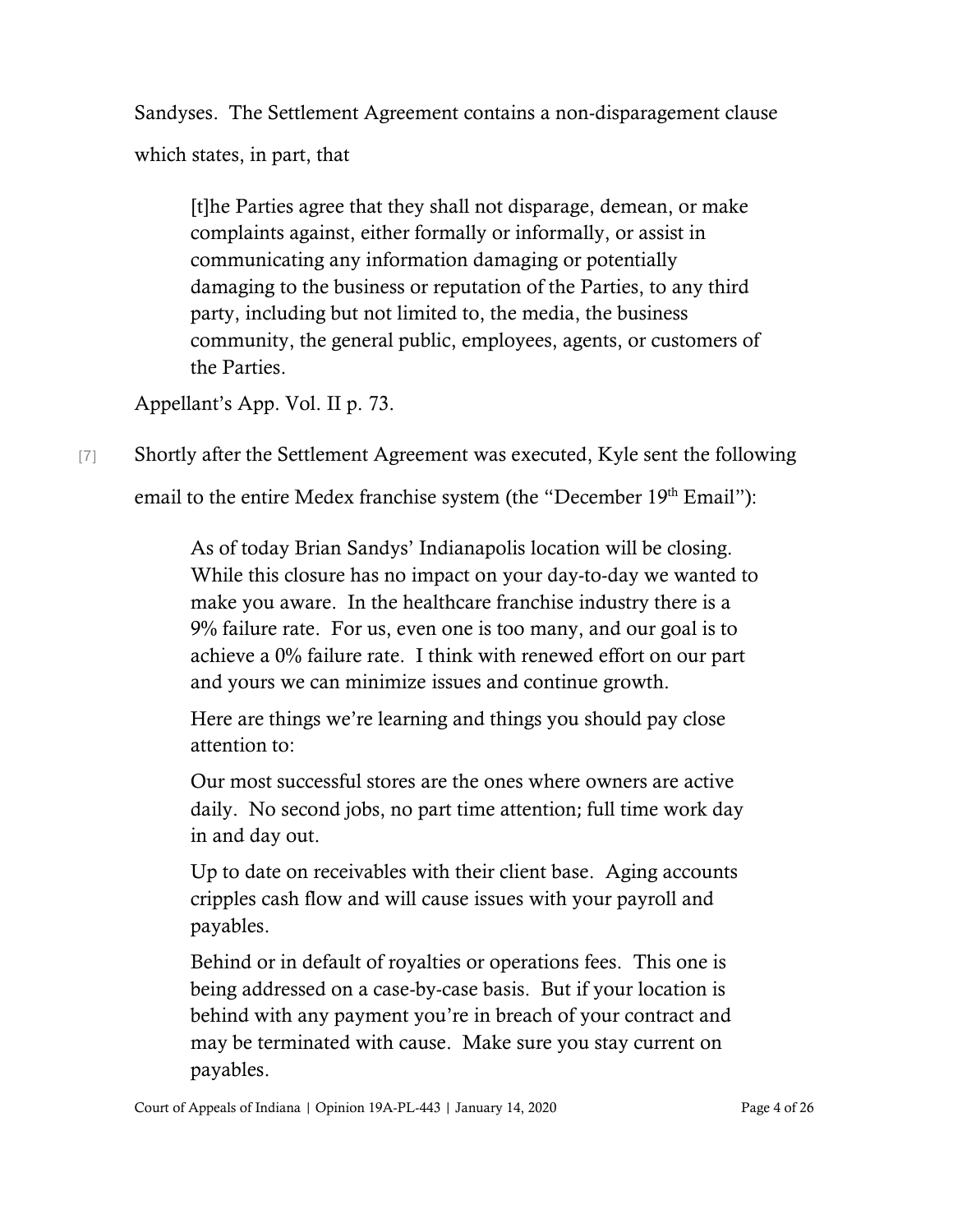Sandyses. The Settlement Agreement contains a non-disparagement clause which states, in part, that

[t]he Parties agree that they shall not disparage, demean, or make complaints against, either formally or informally, or assist in communicating any information damaging or potentially damaging to the business or reputation of the Parties, to any third party, including but not limited to, the media, the business community, the general public, employees, agents, or customers of the Parties.

Appellant's App. Vol. II p. 73.

[7] Shortly after the Settlement Agreement was executed, Kyle sent the following

email to the entire Medex franchise system (the "December 19th Email"):

As of today Brian Sandys' Indianapolis location will be closing. While this closure has no impact on your day-to-day we wanted to make you aware. In the healthcare franchise industry there is a 9% failure rate. For us, even one is too many, and our goal is to achieve a 0% failure rate. I think with renewed effort on our part and yours we can minimize issues and continue growth.

Here are things we're learning and things you should pay close attention to:

Our most successful stores are the ones where owners are active daily. No second jobs, no part time attention; full time work day in and day out.

Up to date on receivables with their client base. Aging accounts cripples cash flow and will cause issues with your payroll and payables.

Behind or in default of royalties or operations fees. This one is being addressed on a case-by-case basis. But if your location is behind with any payment you're in breach of your contract and may be terminated with cause. Make sure you stay current on payables.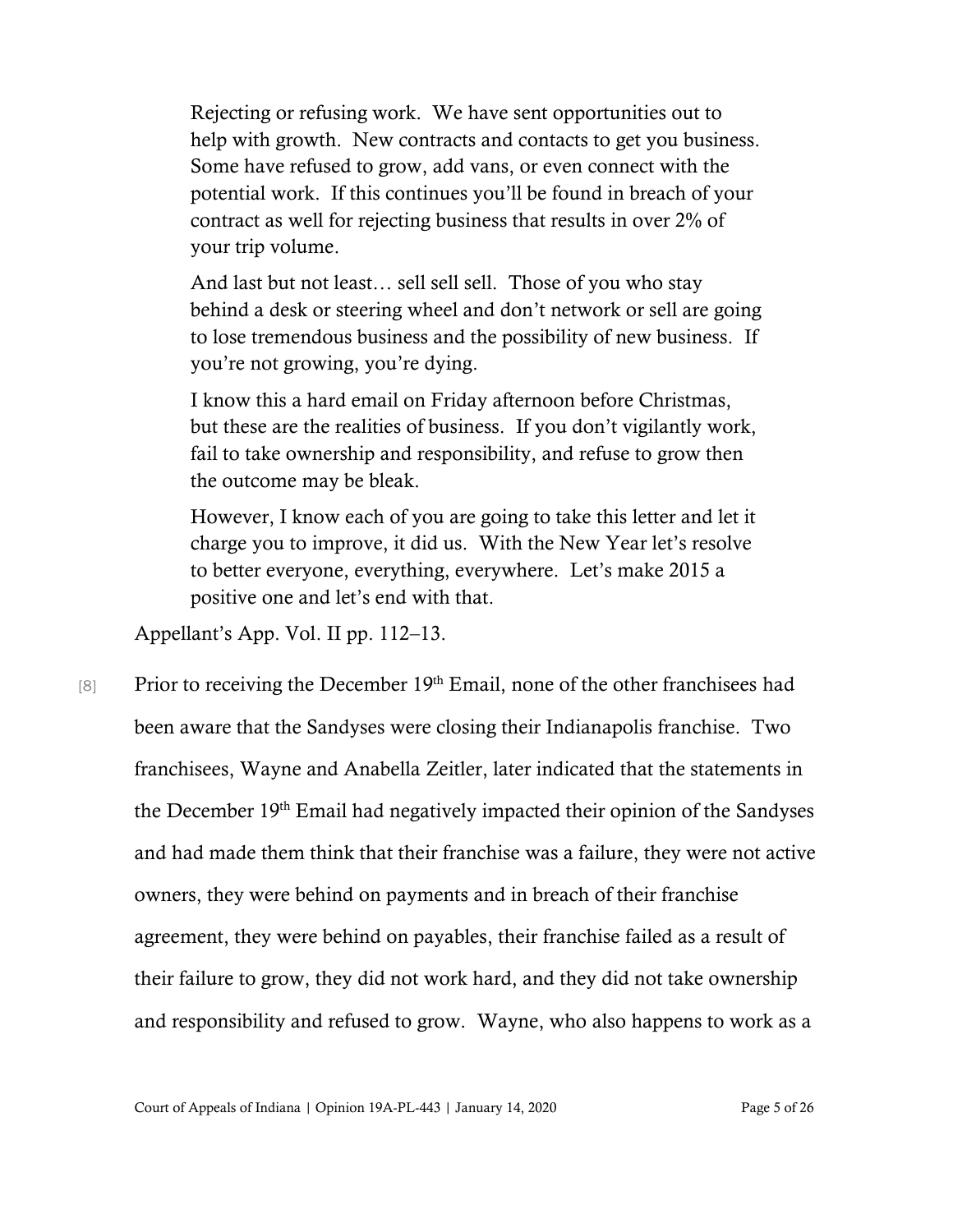Rejecting or refusing work. We have sent opportunities out to help with growth. New contracts and contacts to get you business. Some have refused to grow, add vans, or even connect with the potential work. If this continues you'll be found in breach of your contract as well for rejecting business that results in over 2% of your trip volume.

And last but not least… sell sell sell. Those of you who stay behind a desk or steering wheel and don't network or sell are going to lose tremendous business and the possibility of new business. If you're not growing, you're dying.

I know this a hard email on Friday afternoon before Christmas, but these are the realities of business. If you don't vigilantly work, fail to take ownership and responsibility, and refuse to grow then the outcome may be bleak.

However, I know each of you are going to take this letter and let it charge you to improve, it did us. With the New Year let's resolve to better everyone, everything, everywhere. Let's make 2015 a positive one and let's end with that.

Appellant's App. Vol. II pp. 112–13.

[8] Prior to receiving the December  $19<sup>th</sup>$  Email, none of the other franchisees had been aware that the Sandyses were closing their Indianapolis franchise. Two franchisees, Wayne and Anabella Zeitler, later indicated that the statements in the December 19th Email had negatively impacted their opinion of the Sandyses and had made them think that their franchise was a failure, they were not active owners, they were behind on payments and in breach of their franchise agreement, they were behind on payables, their franchise failed as a result of their failure to grow, they did not work hard, and they did not take ownership and responsibility and refused to grow. Wayne, who also happens to work as a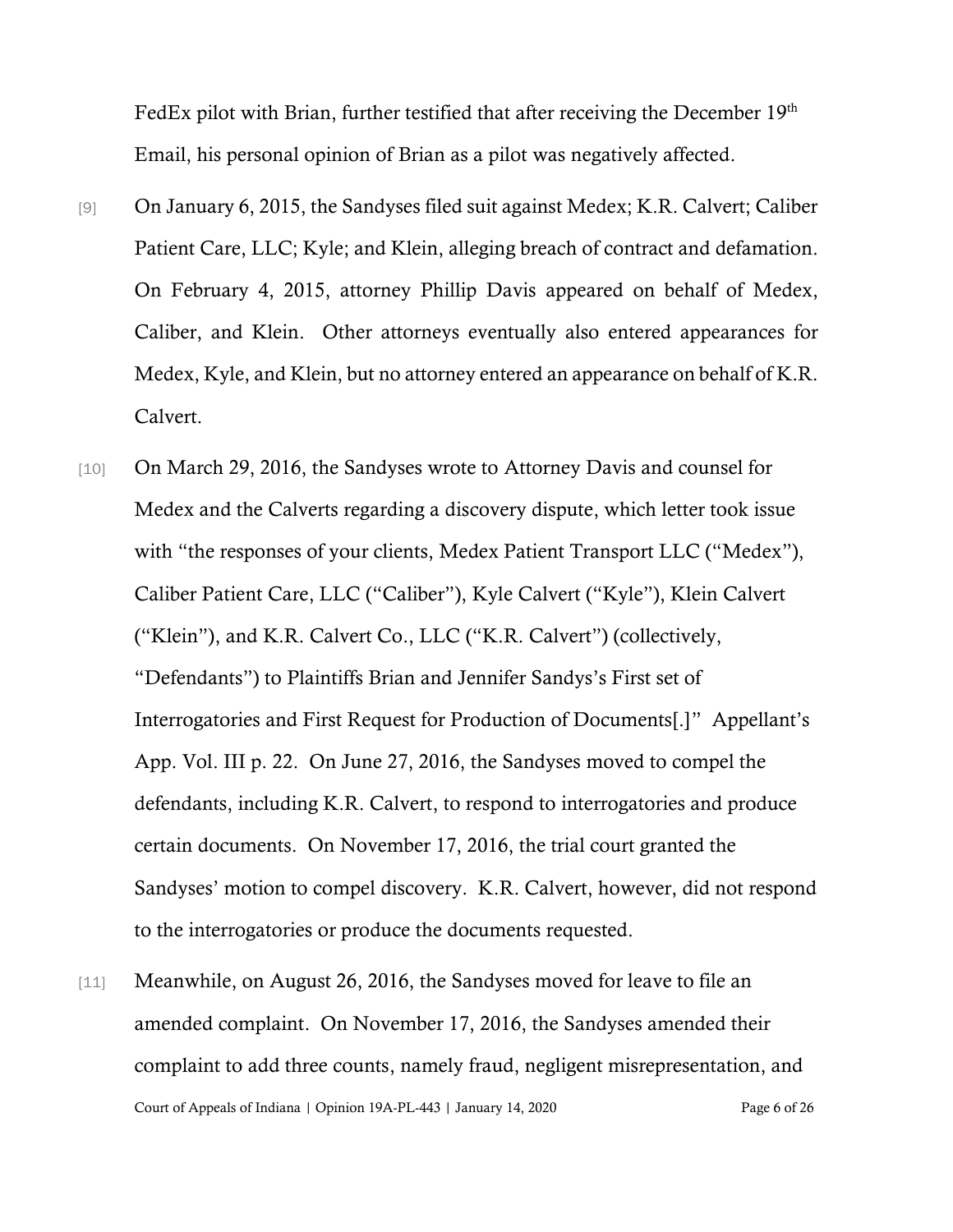FedEx pilot with Brian, further testified that after receiving the December 19<sup>th</sup> Email, his personal opinion of Brian as a pilot was negatively affected.

- [9] On January 6, 2015, the Sandyses filed suit against Medex; K.R. Calvert; Caliber Patient Care, LLC; Kyle; and Klein, alleging breach of contract and defamation. On February 4, 2015, attorney Phillip Davis appeared on behalf of Medex, Caliber, and Klein. Other attorneys eventually also entered appearances for Medex, Kyle, and Klein, but no attorney entered an appearance on behalf of K.R. Calvert.
- [10] On March 29, 2016, the Sandyses wrote to Attorney Davis and counsel for Medex and the Calverts regarding a discovery dispute, which letter took issue with "the responses of your clients, Medex Patient Transport LLC ("Medex"), Caliber Patient Care, LLC ("Caliber"), Kyle Calvert ("Kyle"), Klein Calvert ("Klein"), and K.R. Calvert Co., LLC ("K.R. Calvert") (collectively, "Defendants") to Plaintiffs Brian and Jennifer Sandys's First set of Interrogatories and First Request for Production of Documents[.]" Appellant's App. Vol. III p. 22. On June 27, 2016, the Sandyses moved to compel the defendants, including K.R. Calvert, to respond to interrogatories and produce certain documents. On November 17, 2016, the trial court granted the Sandyses' motion to compel discovery. K.R. Calvert, however, did not respond to the interrogatories or produce the documents requested.
- Court of Appeals of Indiana | Opinion 19A-PL-443 | January 14, 2020 Page 6 of 26 [11] Meanwhile, on August 26, 2016, the Sandyses moved for leave to file an amended complaint. On November 17, 2016, the Sandyses amended their complaint to add three counts, namely fraud, negligent misrepresentation, and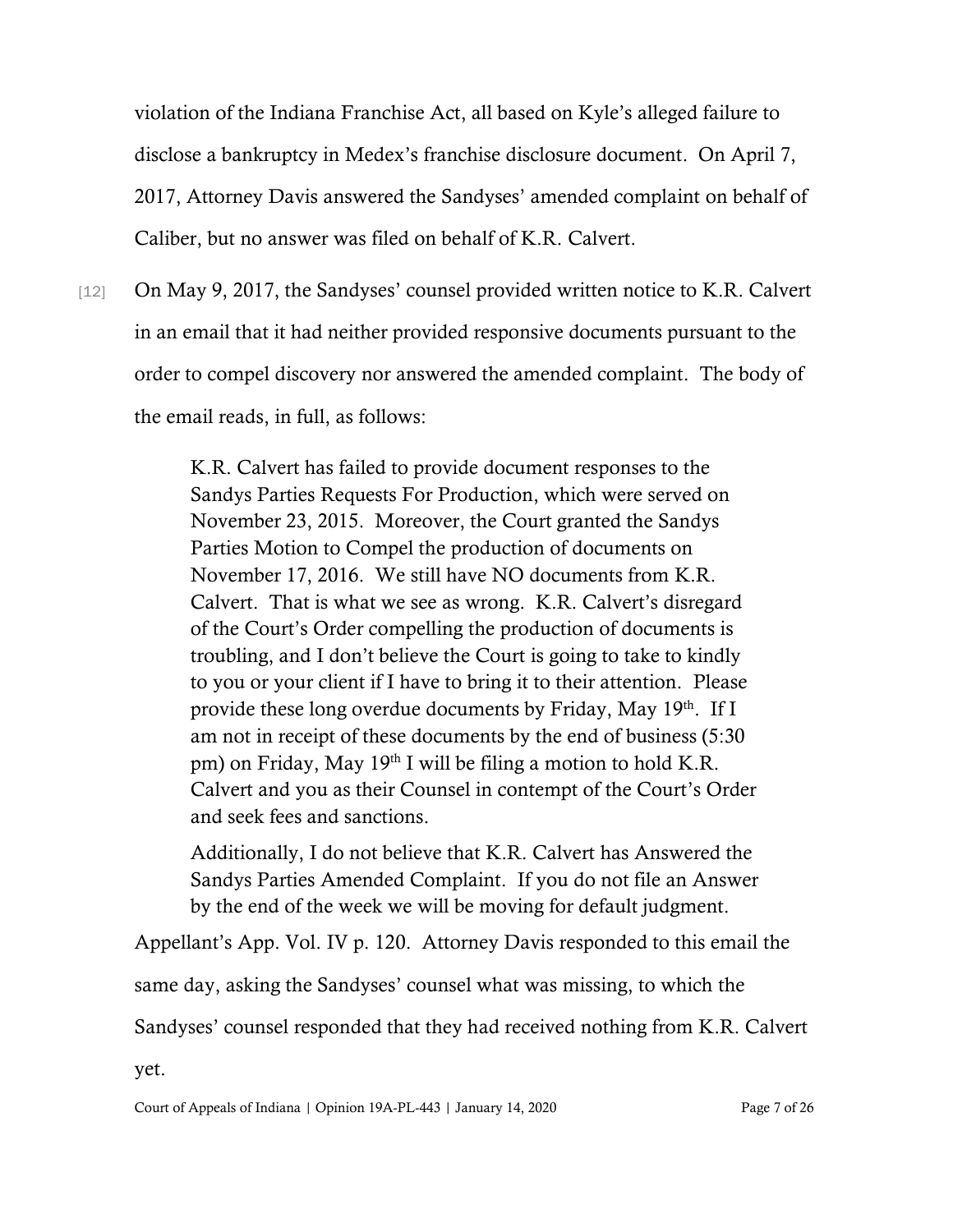violation of the Indiana Franchise Act, all based on Kyle's alleged failure to disclose a bankruptcy in Medex's franchise disclosure document. On April 7, 2017, Attorney Davis answered the Sandyses' amended complaint on behalf of Caliber, but no answer was filed on behalf of K.R. Calvert.

[12] On May 9, 2017, the Sandyses' counsel provided written notice to K.R. Calvert in an email that it had neither provided responsive documents pursuant to the order to compel discovery nor answered the amended complaint. The body of the email reads, in full, as follows:

> K.R. Calvert has failed to provide document responses to the Sandys Parties Requests For Production, which were served on November 23, 2015. Moreover, the Court granted the Sandys Parties Motion to Compel the production of documents on November 17, 2016. We still have NO documents from K.R. Calvert. That is what we see as wrong. K.R. Calvert's disregard of the Court's Order compelling the production of documents is troubling, and I don't believe the Court is going to take to kindly to you or your client if I have to bring it to their attention. Please provide these long overdue documents by Friday, May 19<sup>th</sup>. If I am not in receipt of these documents by the end of business (5:30 pm) on Friday, May 19th I will be filing a motion to hold K.R. Calvert and you as their Counsel in contempt of the Court's Order and seek fees and sanctions.

> Additionally, I do not believe that K.R. Calvert has Answered the Sandys Parties Amended Complaint. If you do not file an Answer by the end of the week we will be moving for default judgment.

Appellant's App. Vol. IV p. 120. Attorney Davis responded to this email the same day, asking the Sandyses' counsel what was missing, to which the Sandyses' counsel responded that they had received nothing from K.R. Calvert yet.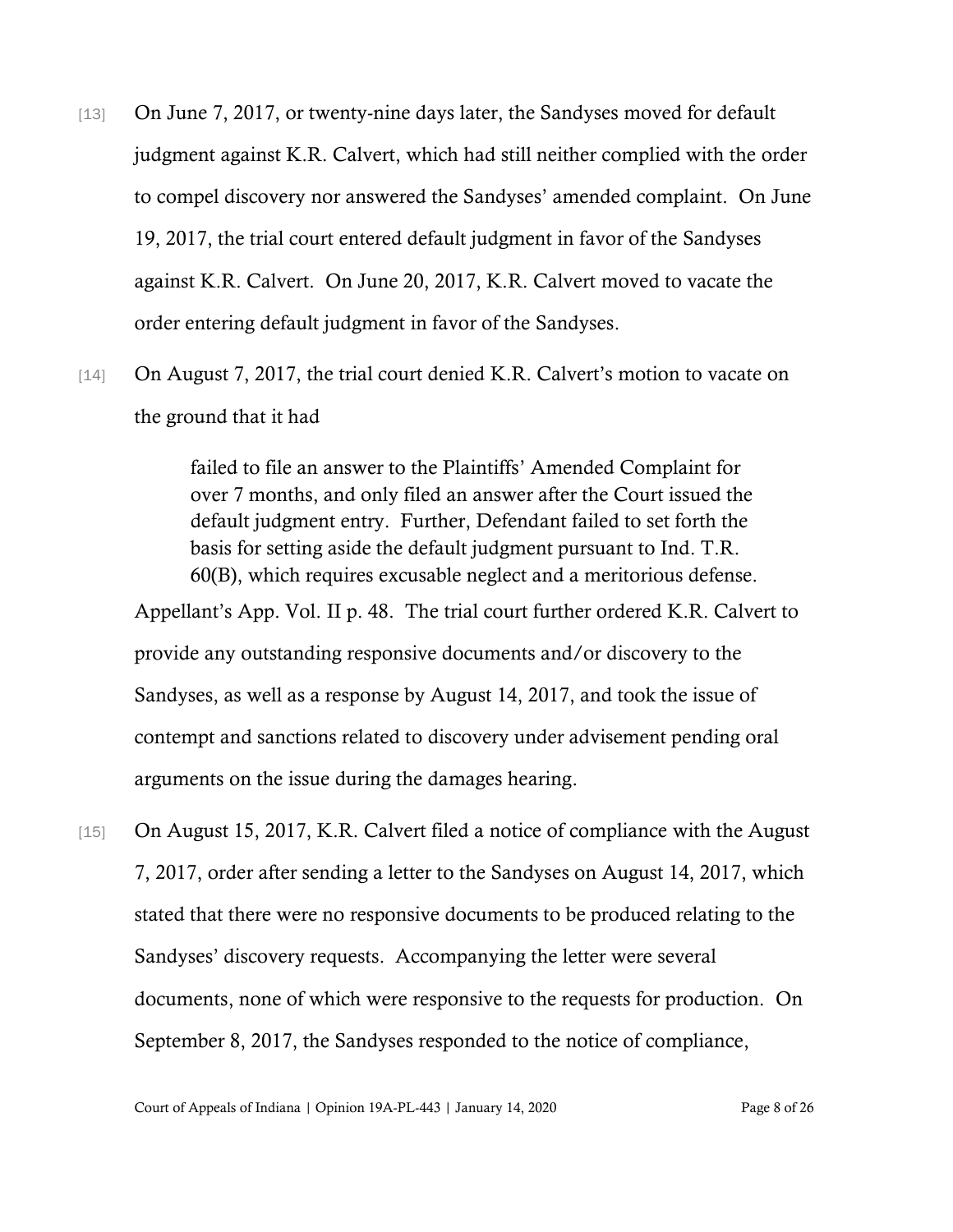- [13] On June 7, 2017, or twenty-nine days later, the Sandyses moved for default judgment against K.R. Calvert, which had still neither complied with the order to compel discovery nor answered the Sandyses' amended complaint. On June 19, 2017, the trial court entered default judgment in favor of the Sandyses against K.R. Calvert. On June 20, 2017, K.R. Calvert moved to vacate the order entering default judgment in favor of the Sandyses.
- [14] On August 7, 2017, the trial court denied K.R. Calvert's motion to vacate on the ground that it had

failed to file an answer to the Plaintiffs' Amended Complaint for over 7 months, and only filed an answer after the Court issued the default judgment entry. Further, Defendant failed to set forth the basis for setting aside the default judgment pursuant to Ind. T.R. 60(B), which requires excusable neglect and a meritorious defense. Appellant's App. Vol. II p. 48. The trial court further ordered K.R. Calvert to provide any outstanding responsive documents and/or discovery to the

Sandyses, as well as a response by August 14, 2017, and took the issue of contempt and sanctions related to discovery under advisement pending oral arguments on the issue during the damages hearing.

[15] On August 15, 2017, K.R. Calvert filed a notice of compliance with the August 7, 2017, order after sending a letter to the Sandyses on August 14, 2017, which stated that there were no responsive documents to be produced relating to the Sandyses' discovery requests. Accompanying the letter were several documents, none of which were responsive to the requests for production. On September 8, 2017, the Sandyses responded to the notice of compliance,

Court of Appeals of Indiana | Opinion 19A-PL-443 | January 14, 2020 Page 8 of 26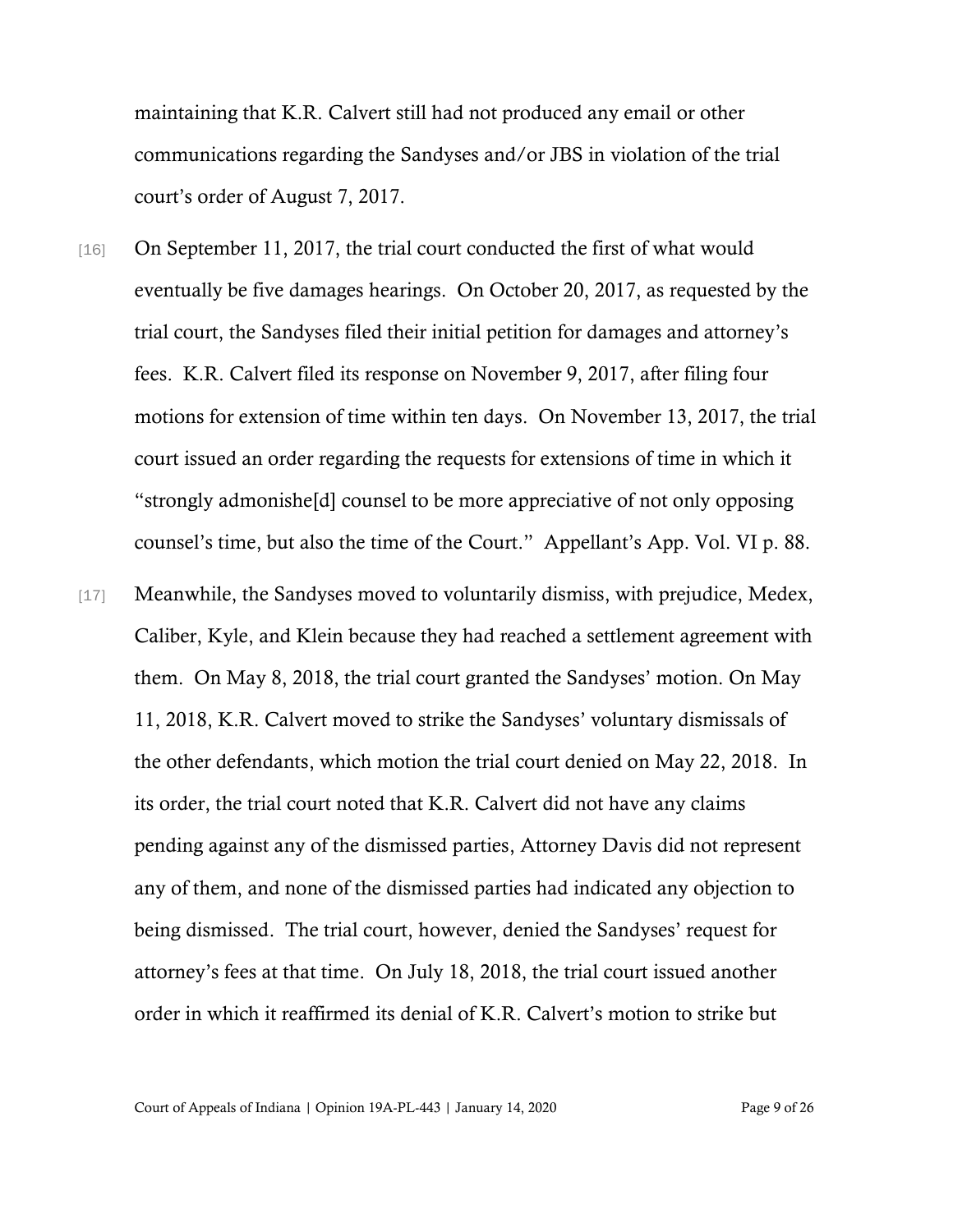maintaining that K.R. Calvert still had not produced any email or other communications regarding the Sandyses and/or JBS in violation of the trial court's order of August 7, 2017.

- [16] On September 11, 2017, the trial court conducted the first of what would eventually be five damages hearings. On October 20, 2017, as requested by the trial court, the Sandyses filed their initial petition for damages and attorney's fees. K.R. Calvert filed its response on November 9, 2017, after filing four motions for extension of time within ten days. On November 13, 2017, the trial court issued an order regarding the requests for extensions of time in which it "strongly admonishe[d] counsel to be more appreciative of not only opposing counsel's time, but also the time of the Court." Appellant's App. Vol. VI p. 88.
- [17] Meanwhile, the Sandyses moved to voluntarily dismiss, with prejudice, Medex, Caliber, Kyle, and Klein because they had reached a settlement agreement with them. On May 8, 2018, the trial court granted the Sandyses' motion. On May 11, 2018, K.R. Calvert moved to strike the Sandyses' voluntary dismissals of the other defendants, which motion the trial court denied on May 22, 2018. In its order, the trial court noted that K.R. Calvert did not have any claims pending against any of the dismissed parties, Attorney Davis did not represent any of them, and none of the dismissed parties had indicated any objection to being dismissed. The trial court, however, denied the Sandyses' request for attorney's fees at that time. On July 18, 2018, the trial court issued another order in which it reaffirmed its denial of K.R. Calvert's motion to strike but

Court of Appeals of Indiana | Opinion 19A-PL-443 | January 14, 2020 Page 9 of 26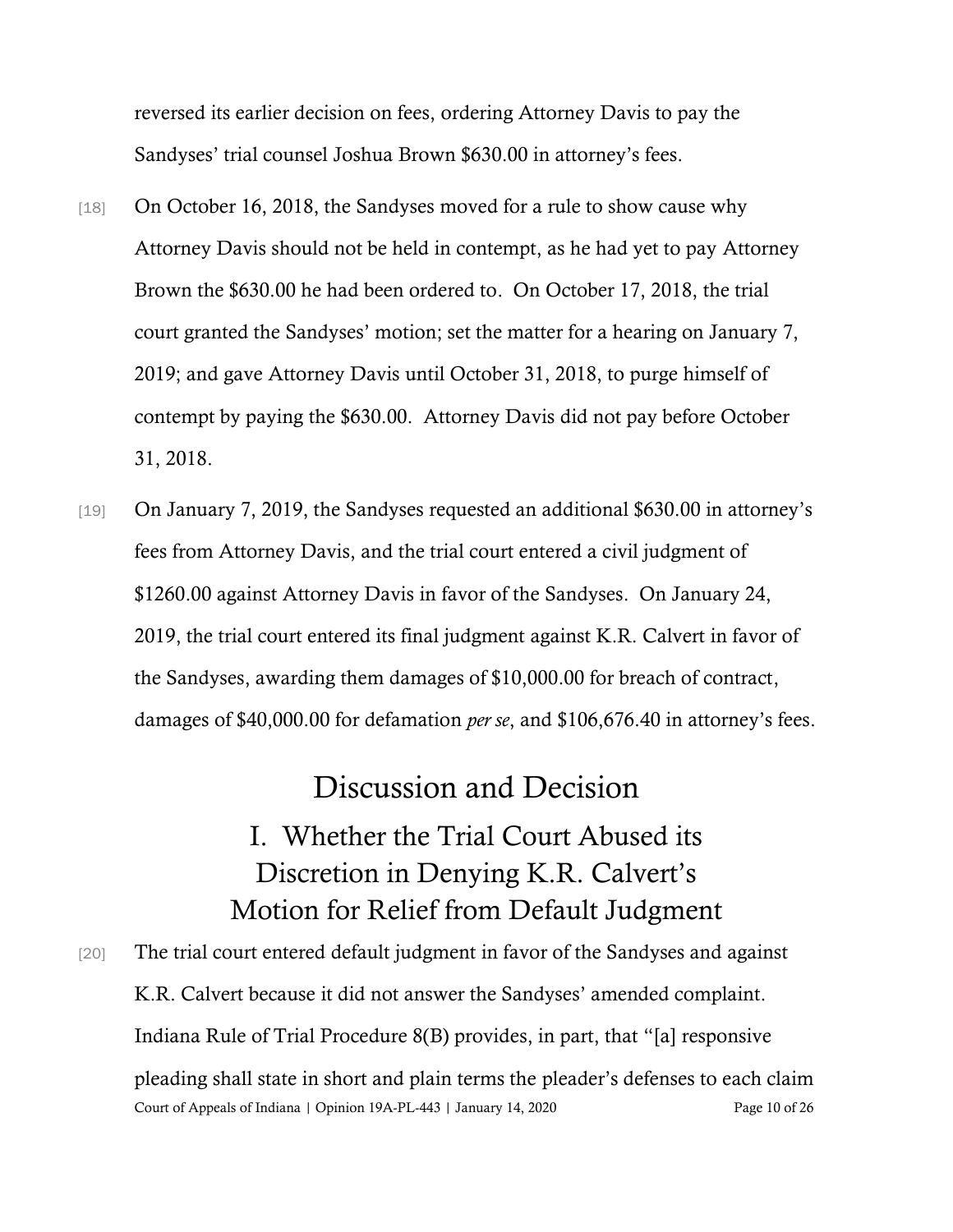reversed its earlier decision on fees, ordering Attorney Davis to pay the Sandyses' trial counsel Joshua Brown \$630.00 in attorney's fees.

- [18] On October 16, 2018, the Sandyses moved for a rule to show cause why Attorney Davis should not be held in contempt, as he had yet to pay Attorney Brown the \$630.00 he had been ordered to. On October 17, 2018, the trial court granted the Sandyses' motion; set the matter for a hearing on January 7, 2019; and gave Attorney Davis until October 31, 2018, to purge himself of contempt by paying the \$630.00. Attorney Davis did not pay before October 31, 2018.
- [19] On January 7, 2019, the Sandyses requested an additional \$630.00 in attorney's fees from Attorney Davis, and the trial court entered a civil judgment of \$1260.00 against Attorney Davis in favor of the Sandyses. On January 24, 2019, the trial court entered its final judgment against K.R. Calvert in favor of the Sandyses, awarding them damages of \$10,000.00 for breach of contract, damages of \$40,000.00 for defamation *per se*, and \$106,676.40 in attorney's fees.

## Discussion and Decision

## I. Whether the Trial Court Abused its Discretion in Denying K.R. Calvert's Motion for Relief from Default Judgment

Court of Appeals of Indiana | Opinion 19A-PL-443 | January 14, 2020 Page 10 of 26 [20] The trial court entered default judgment in favor of the Sandyses and against K.R. Calvert because it did not answer the Sandyses' amended complaint. Indiana Rule of Trial Procedure 8(B) provides, in part, that "[a] responsive pleading shall state in short and plain terms the pleader's defenses to each claim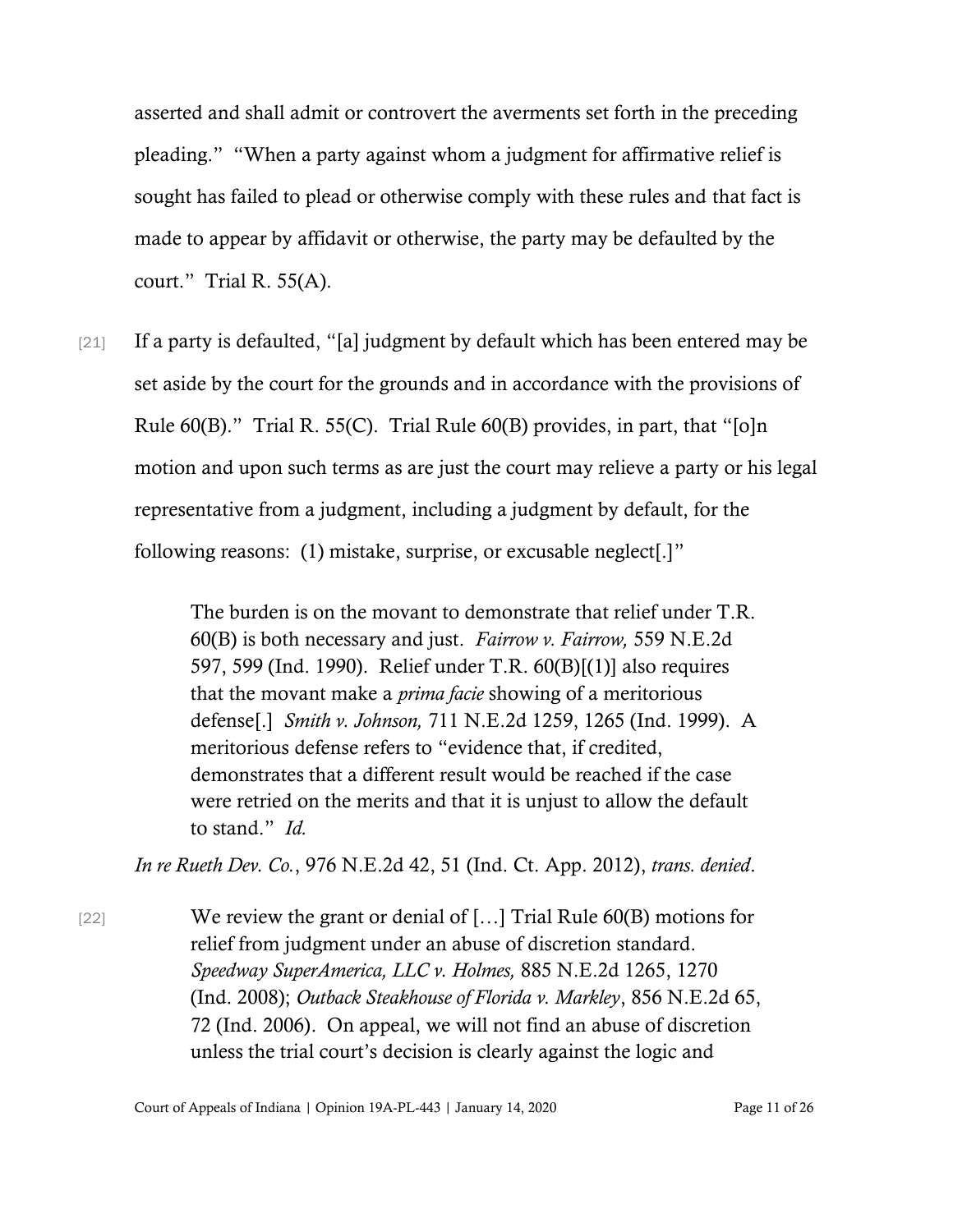asserted and shall admit or controvert the averments set forth in the preceding pleading." "When a party against whom a judgment for affirmative relief is sought has failed to plead or otherwise comply with these rules and that fact is made to appear by affidavit or otherwise, the party may be defaulted by the court." Trial R. 55(A).

[21] If a party is defaulted, "[a] judgment by default which has been entered may be set aside by the court for the grounds and in accordance with the provisions of Rule 60(B)." Trial R. 55(C). Trial Rule 60(B) provides, in part, that "[o]n motion and upon such terms as are just the court may relieve a party or his legal representative from a judgment, including a judgment by default, for the following reasons: (1) mistake, surprise, or excusable neglect[.]"

> The burden is on the movant to demonstrate that relief under T.R. 60(B) is both necessary and just. *Fairrow v. Fairrow,* 559 N.E.2d 597, 599 (Ind. 1990). Relief under T.R. 60(B)[(1)] also requires that the movant make a *prima facie* showing of a meritorious defense[.] *Smith v. Johnson,* 711 N.E.2d 1259, 1265 (Ind. 1999). A meritorious defense refers to "evidence that, if credited, demonstrates that a different result would be reached if the case were retried on the merits and that it is unjust to allow the default to stand." *Id.*

*In re Rueth Dev. Co.*, 976 N.E.2d 42, 51 (Ind. Ct. App. 2012), *trans. denied*.

[22] We review the grant or denial of […] Trial Rule 60(B) motions for relief from judgment under an abuse of discretion standard. *Speedway SuperAmerica, LLC v. Holmes,* 885 N.E.2d 1265, 1270 (Ind. 2008); *Outback Steakhouse of Florida v. Markley*, 856 N.E.2d 65, 72 (Ind. 2006). On appeal, we will not find an abuse of discretion unless the trial court's decision is clearly against the logic and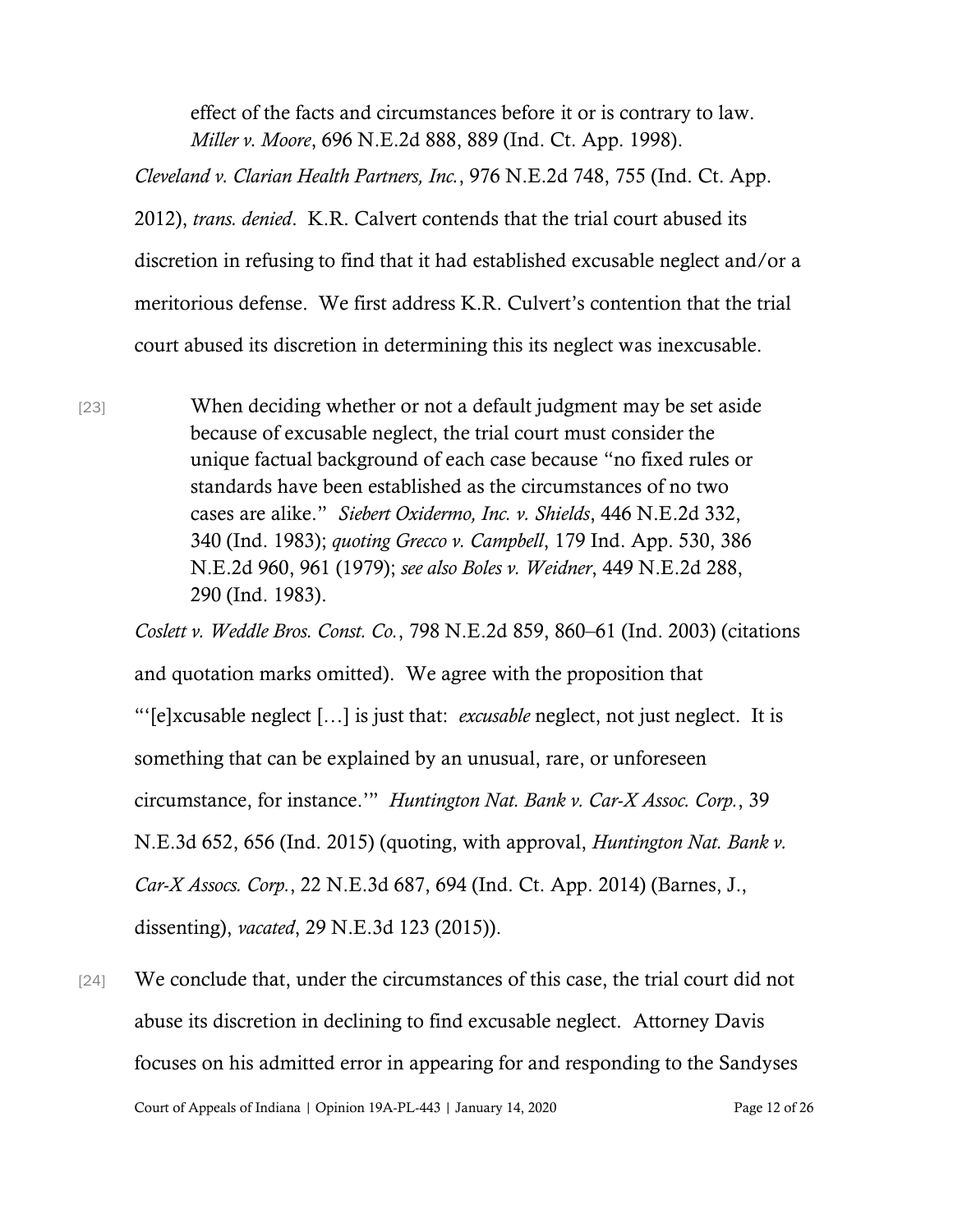effect of the facts and circumstances before it or is contrary to law. *Miller v. Moore*, 696 N.E.2d 888, 889 (Ind. Ct. App. 1998).

*Cleveland v. Clarian Health Partners, Inc.*, 976 N.E.2d 748, 755 (Ind. Ct. App. 2012), *trans. denied*. K.R. Calvert contends that the trial court abused its discretion in refusing to find that it had established excusable neglect and/or a meritorious defense. We first address K.R. Culvert's contention that the trial court abused its discretion in determining this its neglect was inexcusable.

[23] When deciding whether or not a default judgment may be set aside because of excusable neglect, the trial court must consider the unique factual background of each case because "no fixed rules or standards have been established as the circumstances of no two cases are alike." *Siebert Oxidermo, Inc. v. Shields*, 446 N.E.2d 332, 340 (Ind. 1983); *quoting Grecco v. Campbell*, 179 Ind. App. 530, 386 N.E.2d 960, 961 (1979); *see also Boles v. Weidner*, 449 N.E.2d 288, 290 (Ind. 1983).

*Coslett v. Weddle Bros. Const. Co.*, 798 N.E.2d 859, 860–61 (Ind. 2003) (citations and quotation marks omitted). We agree with the proposition that "'[e]xcusable neglect […] is just that: *excusable* neglect, not just neglect. It is something that can be explained by an unusual, rare, or unforeseen circumstance, for instance.'" *Huntington Nat. Bank v. Car-X Assoc. Corp.*, 39 N.E.3d 652, 656 (Ind. 2015) (quoting, with approval, *Huntington Nat. Bank v. Car-X Assocs. Corp.*, 22 N.E.3d 687, 694 (Ind. Ct. App. 2014) (Barnes, J., dissenting), *vacated*, 29 N.E.3d 123 (2015)).

Court of Appeals of Indiana | Opinion 19A-PL-443 | January 14, 2020 Page 12 of 26 [24] We conclude that, under the circumstances of this case, the trial court did not abuse its discretion in declining to find excusable neglect. Attorney Davis focuses on his admitted error in appearing for and responding to the Sandyses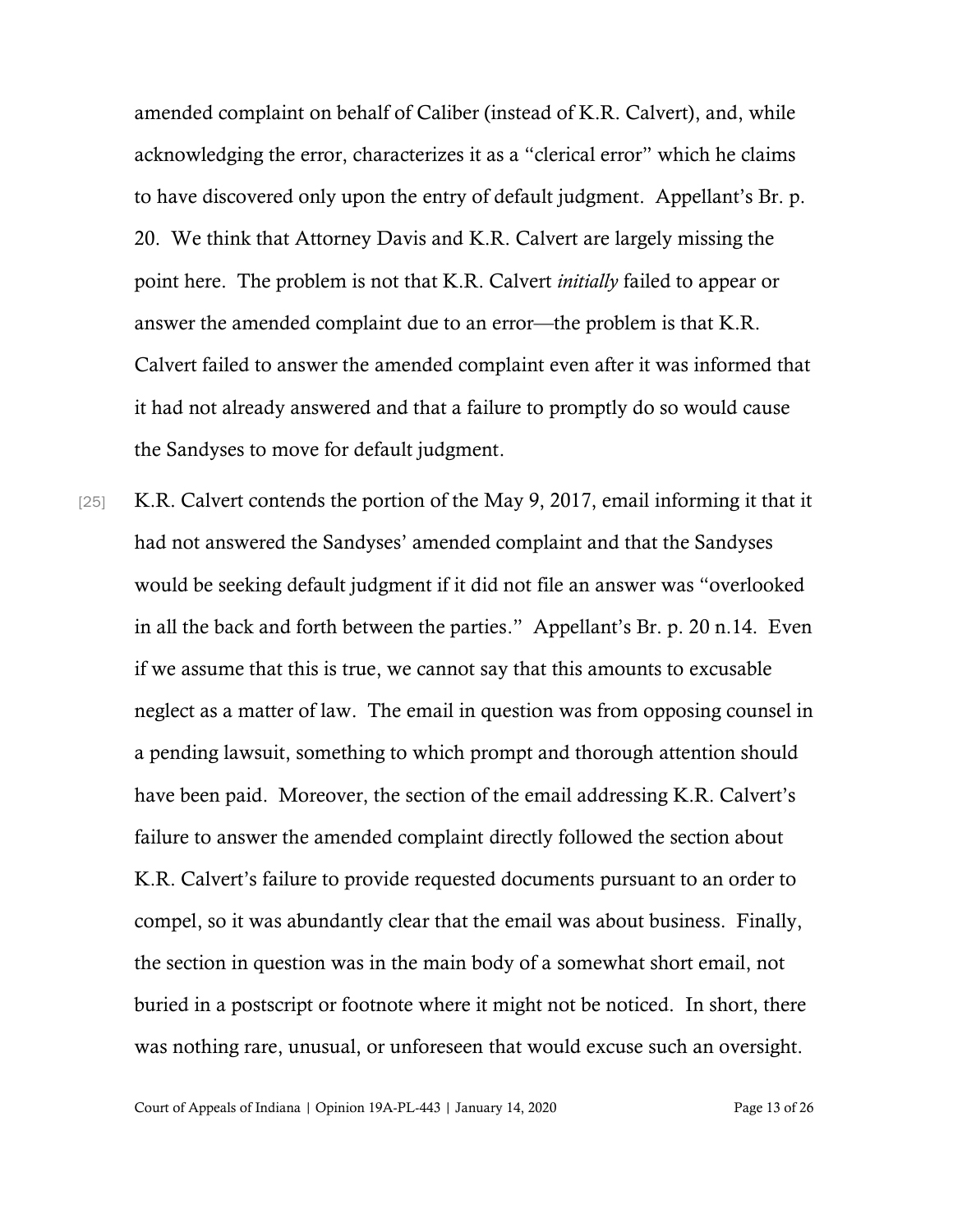amended complaint on behalf of Caliber (instead of K.R. Calvert), and, while acknowledging the error, characterizes it as a "clerical error" which he claims to have discovered only upon the entry of default judgment. Appellant's Br. p. 20. We think that Attorney Davis and K.R. Calvert are largely missing the point here. The problem is not that K.R. Calvert *initially* failed to appear or answer the amended complaint due to an error—the problem is that K.R. Calvert failed to answer the amended complaint even after it was informed that it had not already answered and that a failure to promptly do so would cause the Sandyses to move for default judgment.

[25] K.R. Calvert contends the portion of the May 9, 2017, email informing it that it had not answered the Sandyses' amended complaint and that the Sandyses would be seeking default judgment if it did not file an answer was "overlooked in all the back and forth between the parties." Appellant's Br. p. 20 n.14. Even if we assume that this is true, we cannot say that this amounts to excusable neglect as a matter of law. The email in question was from opposing counsel in a pending lawsuit, something to which prompt and thorough attention should have been paid. Moreover, the section of the email addressing K.R. Calvert's failure to answer the amended complaint directly followed the section about K.R. Calvert's failure to provide requested documents pursuant to an order to compel, so it was abundantly clear that the email was about business. Finally, the section in question was in the main body of a somewhat short email, not buried in a postscript or footnote where it might not be noticed. In short, there was nothing rare, unusual, or unforeseen that would excuse such an oversight.

Court of Appeals of Indiana | Opinion 19A-PL-443 | January 14, 2020 Page 13 of 26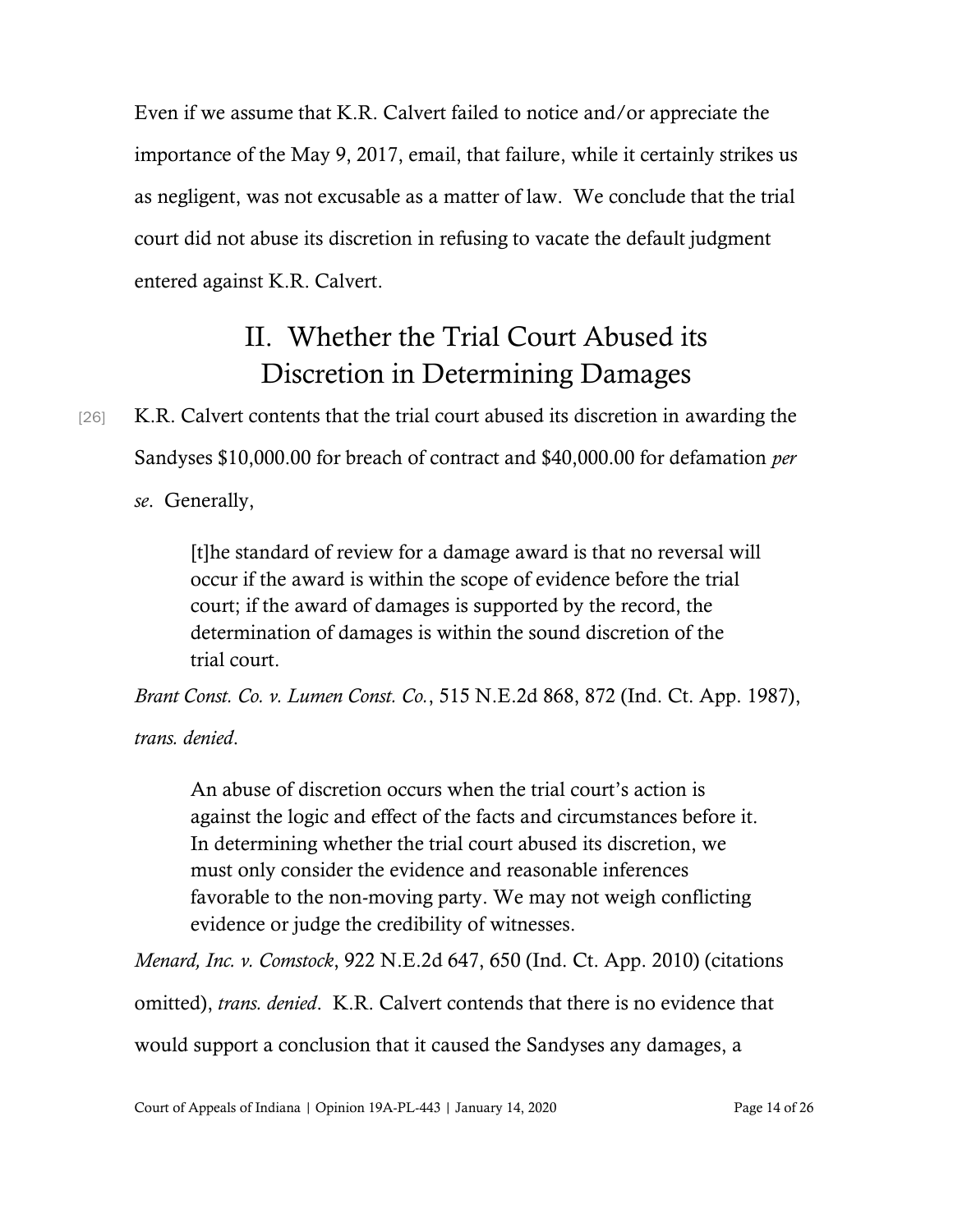Even if we assume that K.R. Calvert failed to notice and/or appreciate the importance of the May 9, 2017, email, that failure, while it certainly strikes us as negligent, was not excusable as a matter of law. We conclude that the trial court did not abuse its discretion in refusing to vacate the default judgment entered against K.R. Calvert.

## II. Whether the Trial Court Abused its Discretion in Determining Damages

# [26] K.R. Calvert contents that the trial court abused its discretion in awarding the Sandyses \$10,000.00 for breach of contract and \$40,000.00 for defamation *per se*. Generally,

[t]he standard of review for a damage award is that no reversal will occur if the award is within the scope of evidence before the trial court; if the award of damages is supported by the record, the determination of damages is within the sound discretion of the trial court.

*Brant Const. Co. v. Lumen Const. Co.*, 515 N.E.2d 868, 872 (Ind. Ct. App. 1987), *trans. denied*.

An abuse of discretion occurs when the trial court's action is against the logic and effect of the facts and circumstances before it. In determining whether the trial court abused its discretion, we must only consider the evidence and reasonable inferences favorable to the non-moving party. We may not weigh conflicting evidence or judge the credibility of witnesses.

*Menard, Inc. v. Comstock*, 922 N.E.2d 647, 650 (Ind. Ct. App. 2010) (citations omitted), *trans. denied*. K.R. Calvert contends that there is no evidence that would support a conclusion that it caused the Sandyses any damages, a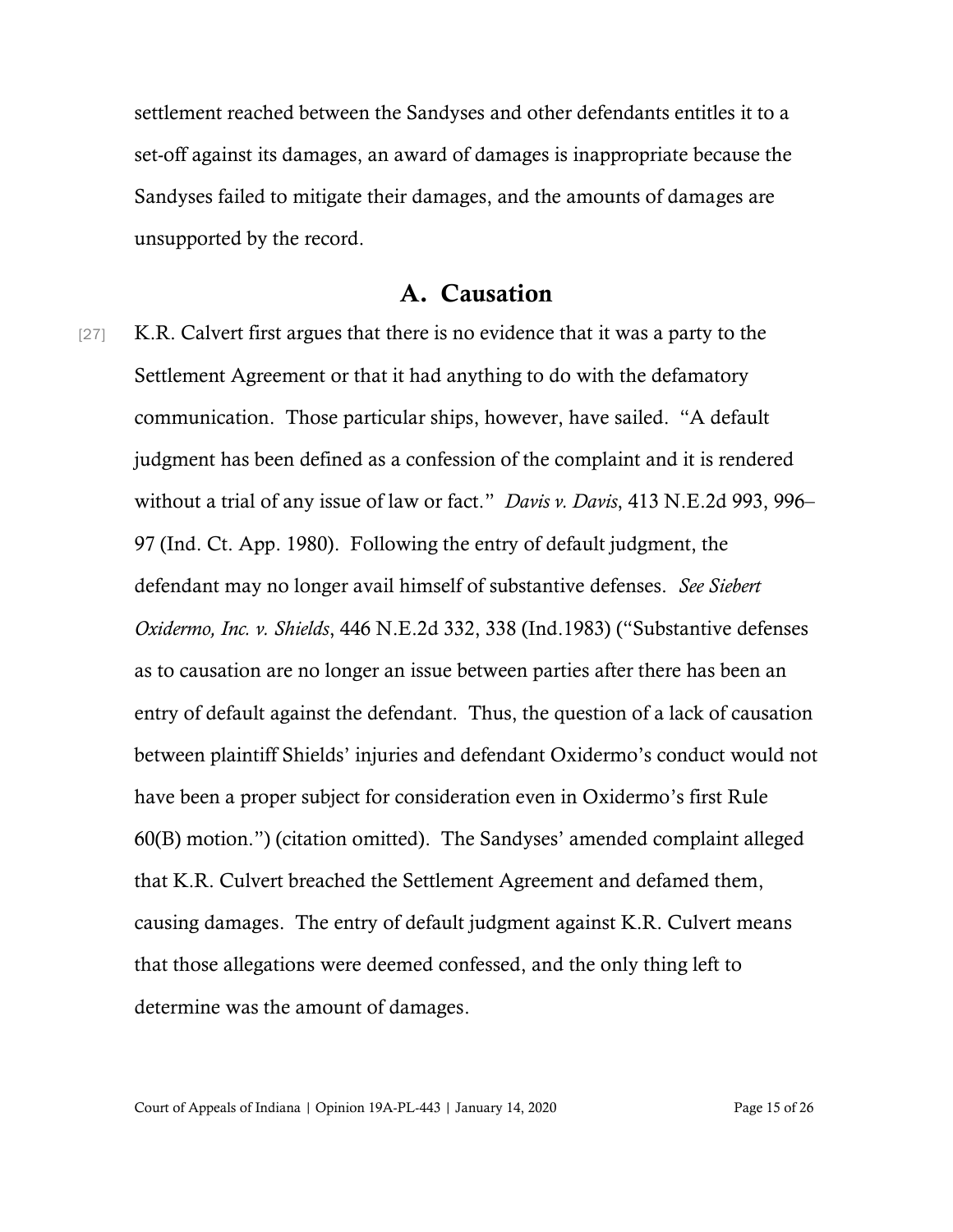settlement reached between the Sandyses and other defendants entitles it to a set-off against its damages, an award of damages is inappropriate because the Sandyses failed to mitigate their damages, and the amounts of damages are unsupported by the record.

### A. Causation

[27] K.R. Calvert first argues that there is no evidence that it was a party to the Settlement Agreement or that it had anything to do with the defamatory communication. Those particular ships, however, have sailed. "A default judgment has been defined as a confession of the complaint and it is rendered without a trial of any issue of law or fact." *Davis v. Davis*, 413 N.E.2d 993, 996– 97 (Ind. Ct. App. 1980). Following the entry of default judgment, the defendant may no longer avail himself of substantive defenses. *See Siebert Oxidermo, Inc. v. Shields*, 446 N.E.2d 332, 338 (Ind.1983) ("Substantive defenses as to causation are no longer an issue between parties after there has been an entry of default against the defendant. Thus, the question of a lack of causation between plaintiff Shields' injuries and defendant Oxidermo's conduct would not have been a proper subject for consideration even in Oxidermo's first Rule 60(B) motion.") (citation omitted). The Sandyses' amended complaint alleged that K.R. Culvert breached the Settlement Agreement and defamed them, causing damages. The entry of default judgment against K.R. Culvert means that those allegations were deemed confessed, and the only thing left to determine was the amount of damages.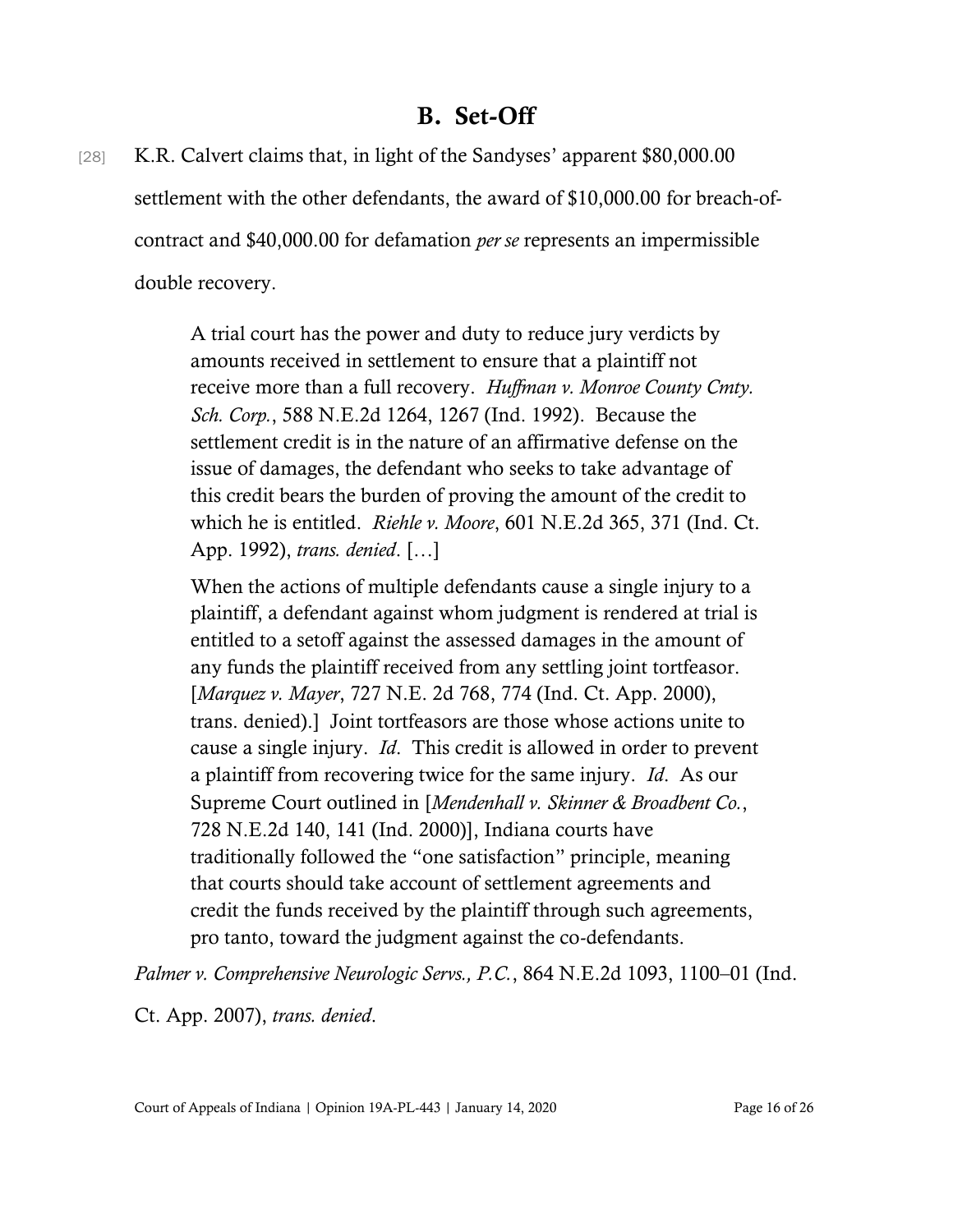### B. Set-Off

[28] K.R. Calvert claims that, in light of the Sandyses' apparent \$80,000.00 settlement with the other defendants, the award of \$10,000.00 for breach-ofcontract and \$40,000.00 for defamation *per se* represents an impermissible double recovery.

> A trial court has the power and duty to reduce jury verdicts by amounts received in settlement to ensure that a plaintiff not receive more than a full recovery. *Huffman v. Monroe County Cmty. Sch. Corp.*, 588 N.E.2d 1264, 1267 (Ind. 1992). Because the settlement credit is in the nature of an affirmative defense on the issue of damages, the defendant who seeks to take advantage of this credit bears the burden of proving the amount of the credit to which he is entitled. *Riehle v. Moore*, 601 N.E.2d 365, 371 (Ind. Ct. App. 1992), *trans. denied*. […]

> When the actions of multiple defendants cause a single injury to a plaintiff, a defendant against whom judgment is rendered at trial is entitled to a setoff against the assessed damages in the amount of any funds the plaintiff received from any settling joint tortfeasor. [*Marquez v. Mayer*, 727 N.E. 2d 768, 774 (Ind. Ct. App. 2000), trans. denied).] Joint tortfeasors are those whose actions unite to cause a single injury. *Id*. This credit is allowed in order to prevent a plaintiff from recovering twice for the same injury. *Id*. As our Supreme Court outlined in [*Mendenhall v. Skinner & Broadbent Co.*, 728 N.E.2d 140, 141 (Ind. 2000)], Indiana courts have traditionally followed the "one satisfaction" principle, meaning that courts should take account of settlement agreements and credit the funds received by the plaintiff through such agreements, pro tanto, toward the judgment against the co-defendants.

*Palmer v. Comprehensive Neurologic Servs., P.C.*, 864 N.E.2d 1093, 1100–01 (Ind.

Ct. App. 2007), *trans. denied*.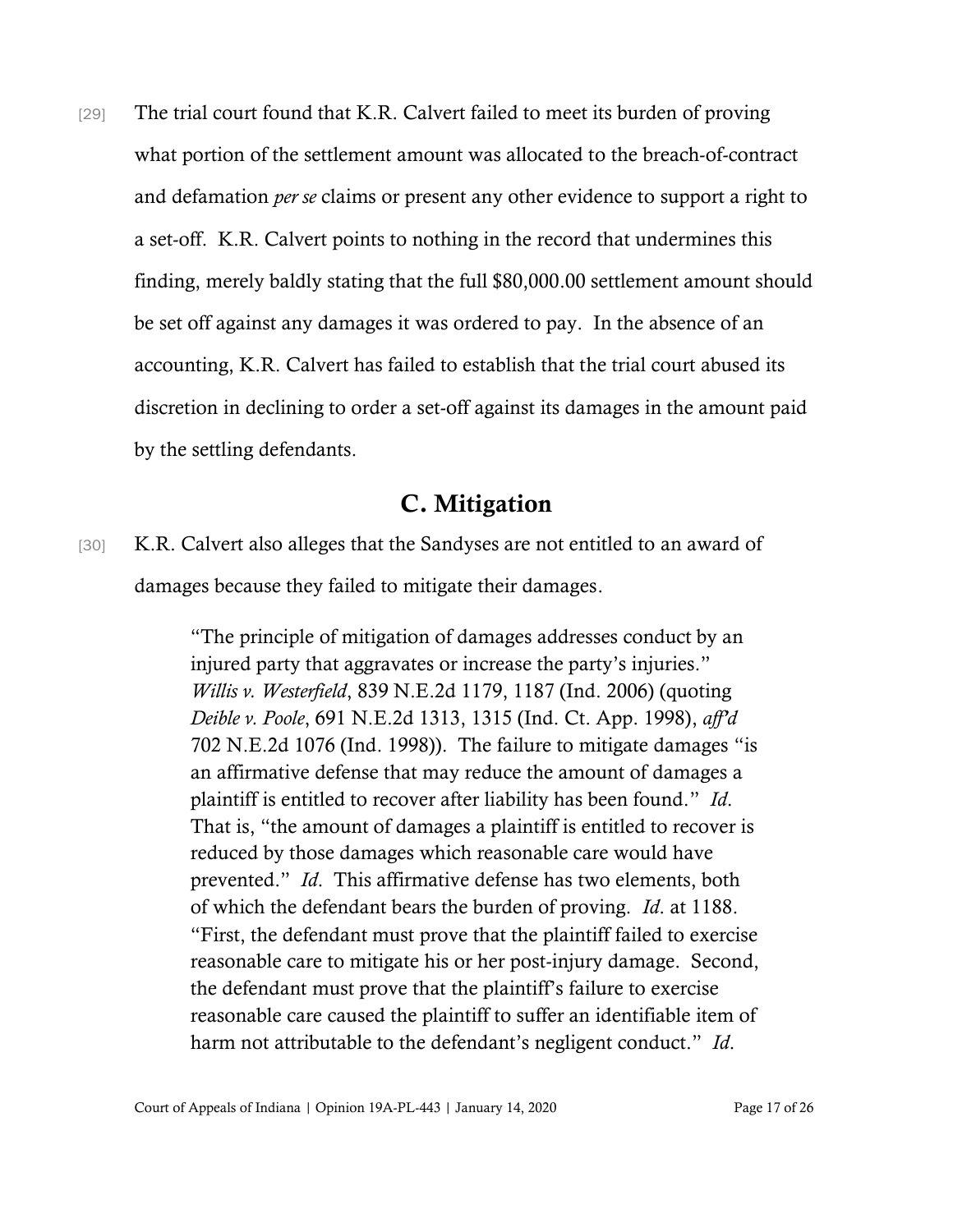[29] The trial court found that K.R. Calvert failed to meet its burden of proving what portion of the settlement amount was allocated to the breach-of-contract and defamation *per se* claims or present any other evidence to support a right to a set-off. K.R. Calvert points to nothing in the record that undermines this finding, merely baldly stating that the full \$80,000.00 settlement amount should be set off against any damages it was ordered to pay. In the absence of an accounting, K.R. Calvert has failed to establish that the trial court abused its discretion in declining to order a set-off against its damages in the amount paid by the settling defendants.

### C. Mitigation

[30] K.R. Calvert also alleges that the Sandyses are not entitled to an award of damages because they failed to mitigate their damages.

> "The principle of mitigation of damages addresses conduct by an injured party that aggravates or increase the party's injuries." *Willis v. Westerfield*, 839 N.E.2d 1179, 1187 (Ind. 2006) (quoting *Deible v. Poole*, 691 N.E.2d 1313, 1315 (Ind. Ct. App. 1998), *aff'd*  702 N.E.2d 1076 (Ind. 1998)). The failure to mitigate damages "is an affirmative defense that may reduce the amount of damages a plaintiff is entitled to recover after liability has been found." *Id*. That is, "the amount of damages a plaintiff is entitled to recover is reduced by those damages which reasonable care would have prevented." *Id*. This affirmative defense has two elements, both of which the defendant bears the burden of proving. *Id*. at 1188. "First, the defendant must prove that the plaintiff failed to exercise reasonable care to mitigate his or her post-injury damage. Second, the defendant must prove that the plaintiff's failure to exercise reasonable care caused the plaintiff to suffer an identifiable item of harm not attributable to the defendant's negligent conduct." *Id*.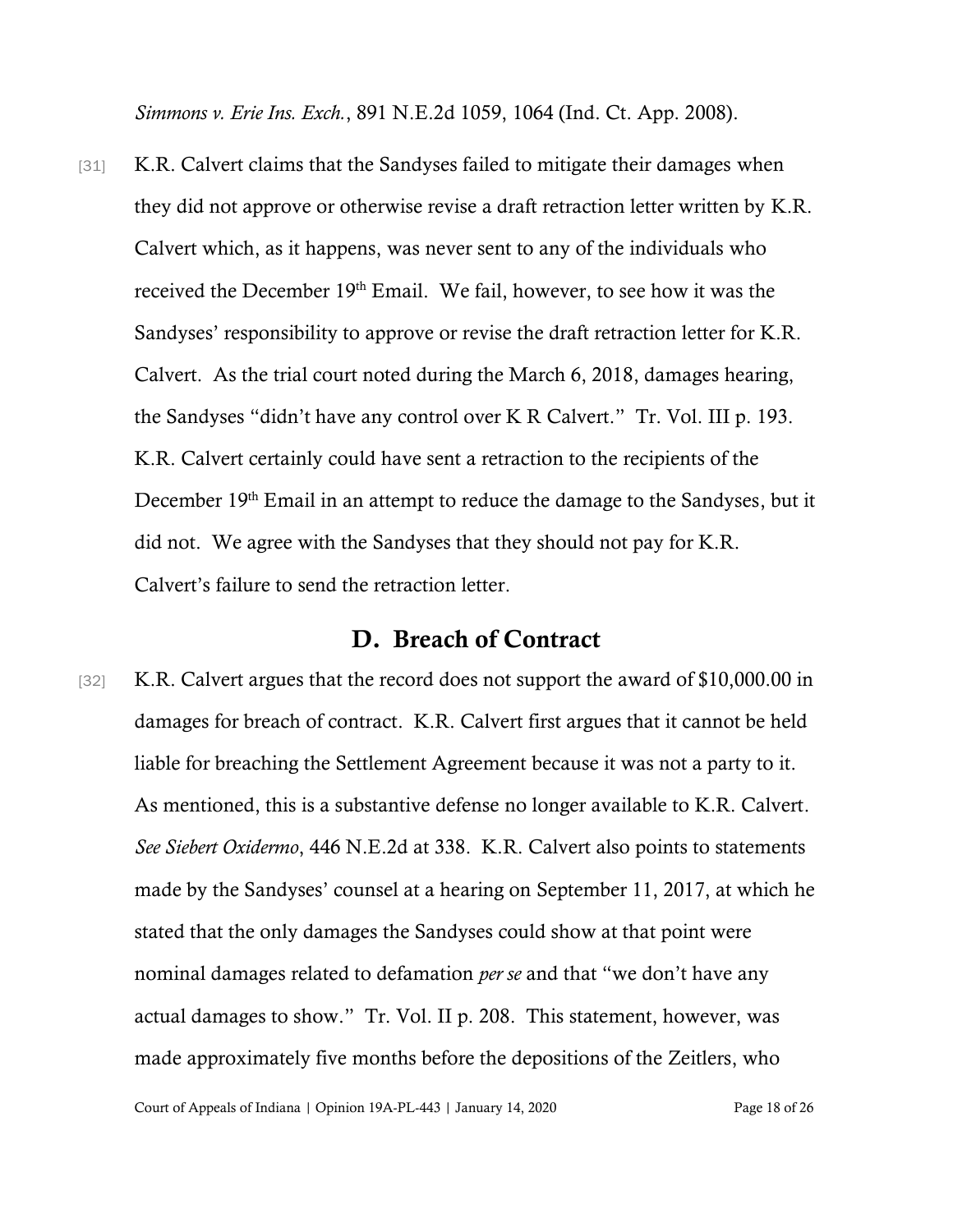*Simmons v. Erie Ins. Exch.*, 891 N.E.2d 1059, 1064 (Ind. Ct. App. 2008).

[31] K.R. Calvert claims that the Sandyses failed to mitigate their damages when they did not approve or otherwise revise a draft retraction letter written by K.R. Calvert which, as it happens, was never sent to any of the individuals who received the December 19th Email. We fail, however, to see how it was the Sandyses' responsibility to approve or revise the draft retraction letter for K.R. Calvert. As the trial court noted during the March 6, 2018, damages hearing, the Sandyses "didn't have any control over K R Calvert." Tr. Vol. III p. 193. K.R. Calvert certainly could have sent a retraction to the recipients of the December 19<sup>th</sup> Email in an attempt to reduce the damage to the Sandyses, but it did not. We agree with the Sandyses that they should not pay for K.R. Calvert's failure to send the retraction letter.

### D. Breach of Contract

[32] K.R. Calvert argues that the record does not support the award of \$10,000.00 in damages for breach of contract. K.R. Calvert first argues that it cannot be held liable for breaching the Settlement Agreement because it was not a party to it. As mentioned, this is a substantive defense no longer available to K.R. Calvert. *See Siebert Oxidermo*, 446 N.E.2d at 338. K.R. Calvert also points to statements made by the Sandyses' counsel at a hearing on September 11, 2017, at which he stated that the only damages the Sandyses could show at that point were nominal damages related to defamation *per se* and that "we don't have any actual damages to show." Tr. Vol. II p. 208. This statement, however, was made approximately five months before the depositions of the Zeitlers, who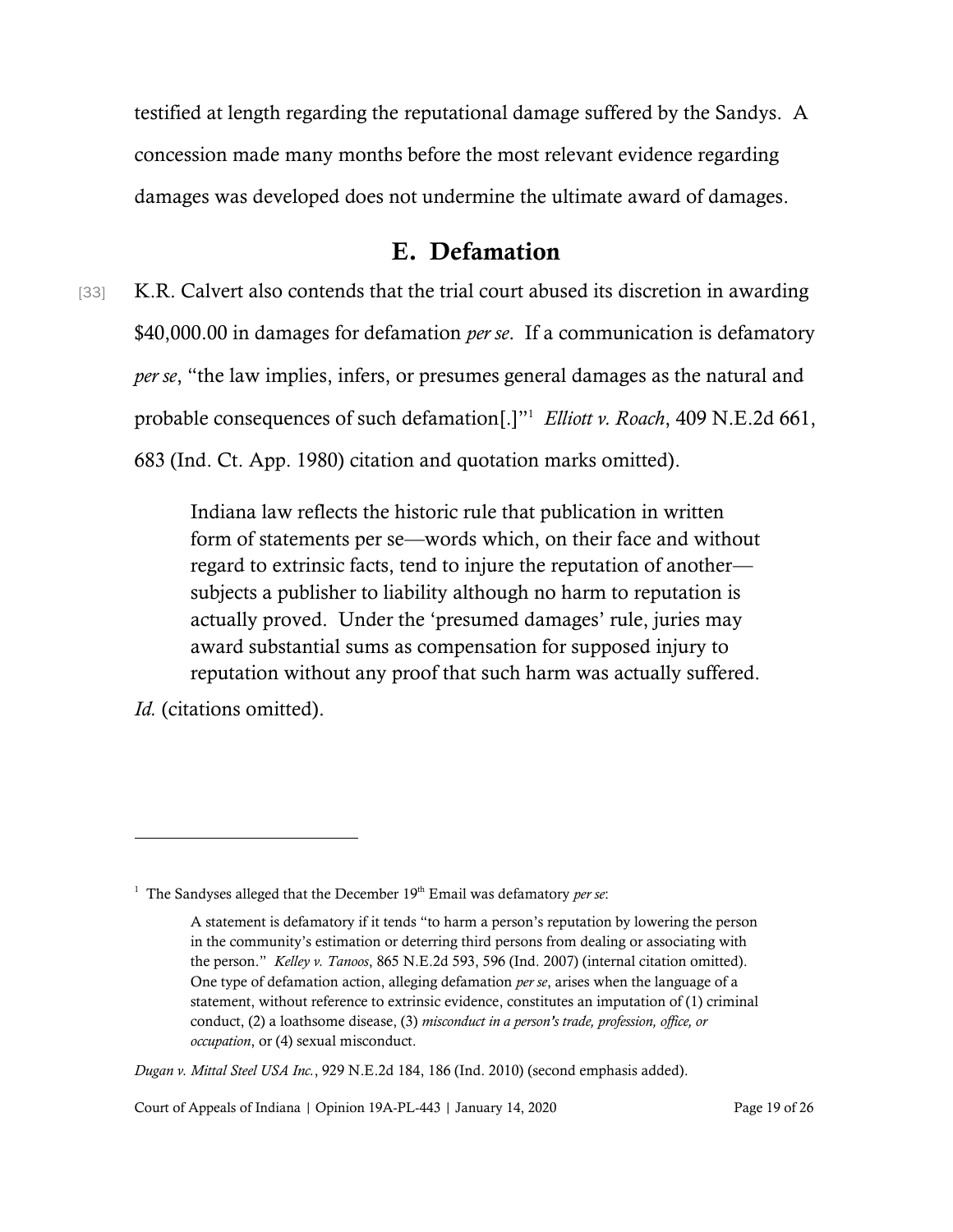testified at length regarding the reputational damage suffered by the Sandys. A concession made many months before the most relevant evidence regarding damages was developed does not undermine the ultimate award of damages.

### E. Defamation

[33] K.R. Calvert also contends that the trial court abused its discretion in awarding \$40,000.00 in damages for defamation *per se*. If a communication is defamatory *per se*, "the law implies, infers, or presumes general damages as the natural and probable consequences of such defamation[.]" 1 *Elliott v. Roach*, 409 N.E.2d 661, 683 (Ind. Ct. App. 1980) citation and quotation marks omitted).

> Indiana law reflects the historic rule that publication in written form of statements per se—words which, on their face and without regard to extrinsic facts, tend to injure the reputation of another subjects a publisher to liability although no harm to reputation is actually proved. Under the 'presumed damages' rule, juries may award substantial sums as compensation for supposed injury to reputation without any proof that such harm was actually suffered.

*Id.* (citations omitted).

<sup>&</sup>lt;sup>1</sup> The Sandyses alleged that the December  $19<sup>th</sup>$  Email was defamatory *per se*:

A statement is defamatory if it tends "to harm a person's reputation by lowering the person in the community's estimation or deterring third persons from dealing or associating with the person." *Kelley v. Tanoos*, 865 N.E.2d 593, 596 (Ind. 2007) (internal citation omitted). One type of defamation action, alleging defamation *per se*, arises when the language of a statement, without reference to extrinsic evidence, constitutes an imputation of (1) criminal conduct, (2) a loathsome disease, (3) *misconduct in a person's trade, profession, office, or occupation*, or (4) sexual misconduct.

*Dugan v. Mittal Steel USA Inc.*, 929 N.E.2d 184, 186 (Ind. 2010) (second emphasis added).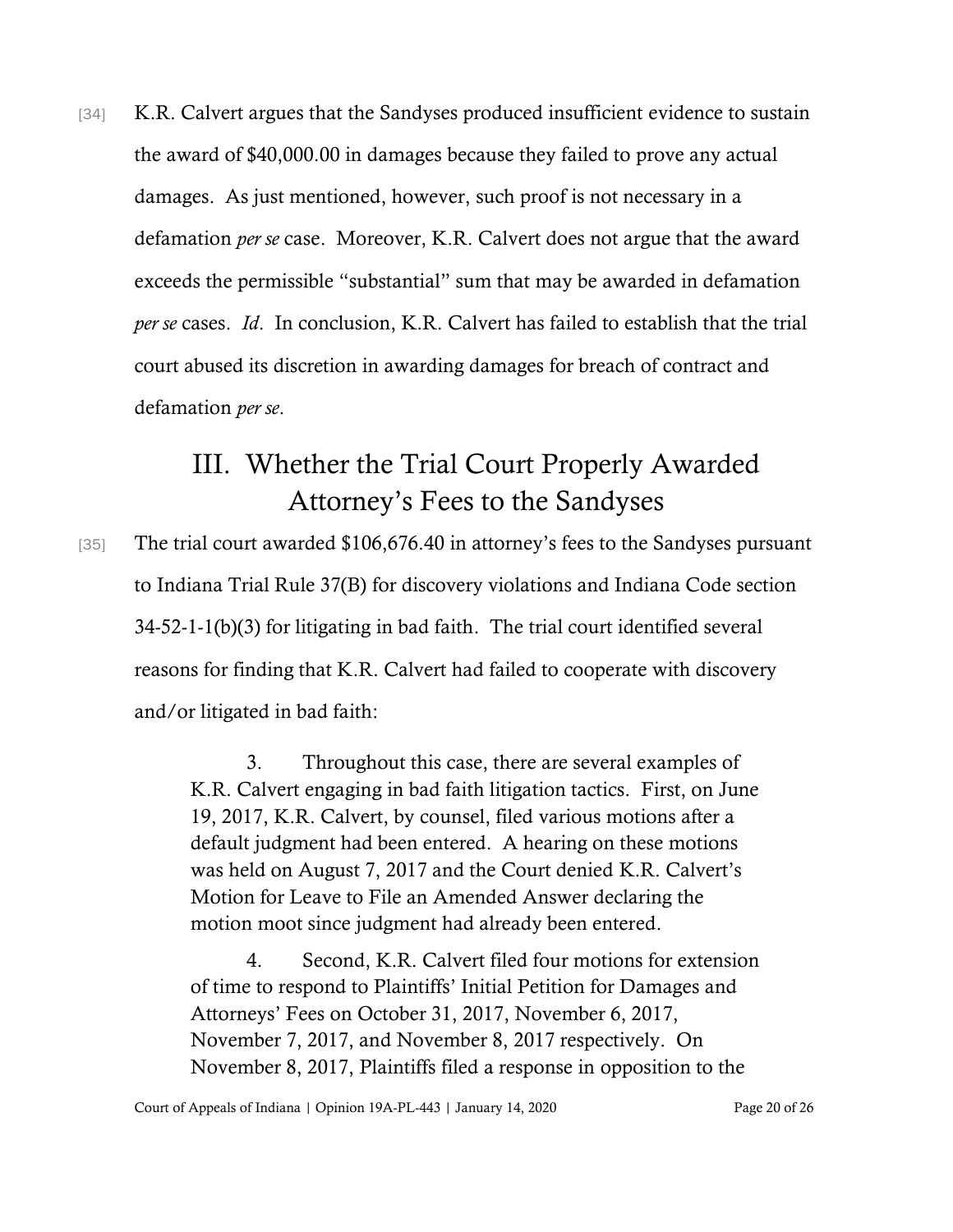[34] K.R. Calvert argues that the Sandyses produced insufficient evidence to sustain the award of \$40,000.00 in damages because they failed to prove any actual damages. As just mentioned, however, such proof is not necessary in a defamation *per se* case. Moreover, K.R. Calvert does not argue that the award exceeds the permissible "substantial" sum that may be awarded in defamation *per se* cases. *Id*. In conclusion, K.R. Calvert has failed to establish that the trial court abused its discretion in awarding damages for breach of contract and defamation *per se*.

## III. Whether the Trial Court Properly Awarded Attorney's Fees to the Sandyses

[35] The trial court awarded \$106,676.40 in attorney's fees to the Sandyses pursuant to Indiana Trial Rule 37(B) for discovery violations and Indiana Code section 34-52-1-1(b)(3) for litigating in bad faith. The trial court identified several reasons for finding that K.R. Calvert had failed to cooperate with discovery and/or litigated in bad faith:

> 3. Throughout this case, there are several examples of K.R. Calvert engaging in bad faith litigation tactics. First, on June 19, 2017, K.R. Calvert, by counsel, filed various motions after a default judgment had been entered. A hearing on these motions was held on August 7, 2017 and the Court denied K.R. Calvert's Motion for Leave to File an Amended Answer declaring the motion moot since judgment had already been entered.

> 4. Second, K.R. Calvert filed four motions for extension of time to respond to Plaintiffs' Initial Petition for Damages and Attorneys' Fees on October 31, 2017, November 6, 2017, November 7, 2017, and November 8, 2017 respectively. On November 8, 2017, Plaintiffs filed a response in opposition to the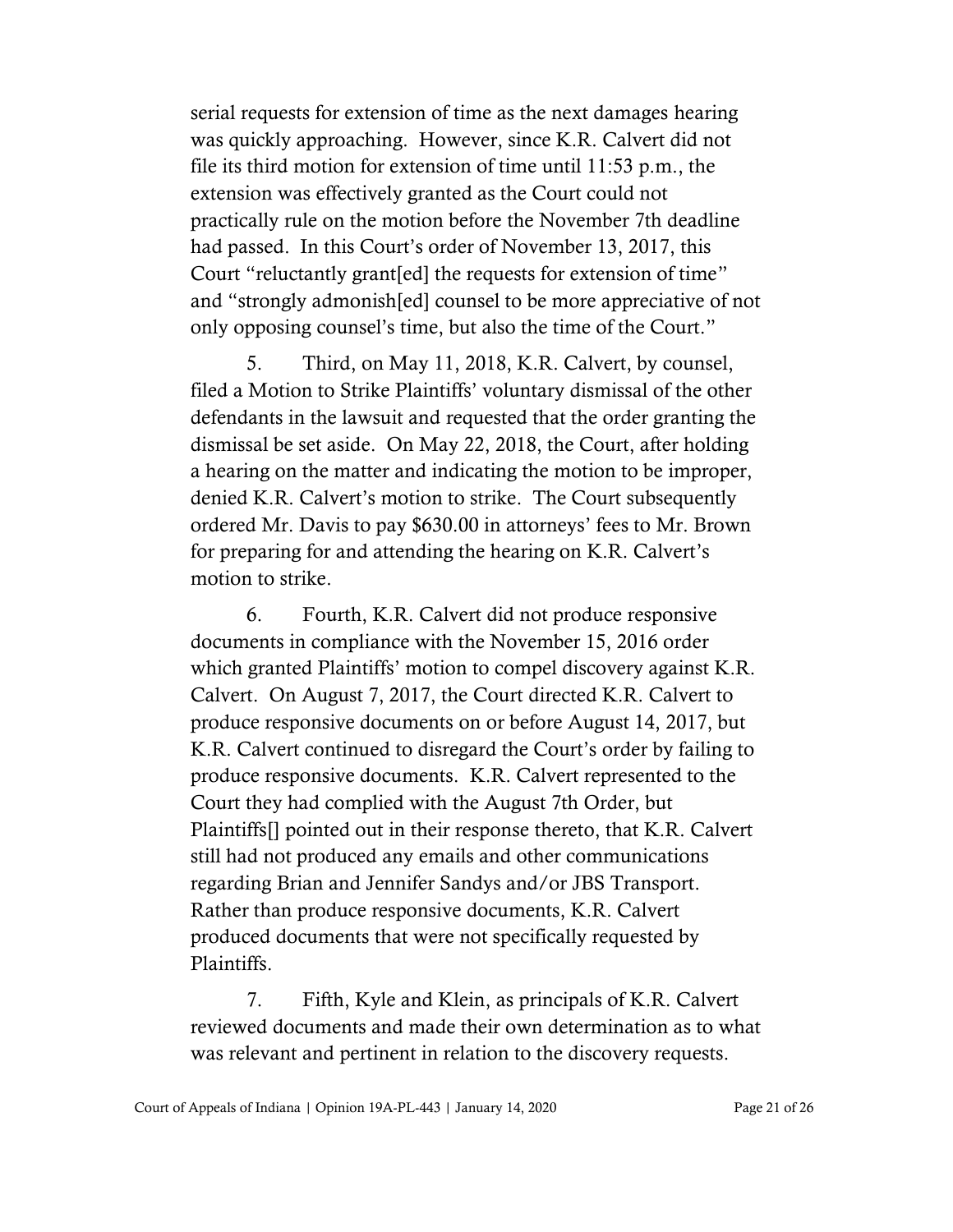serial requests for extension of time as the next damages hearing was quickly approaching. However, since K.R. Calvert did not file its third motion for extension of time until 11:53 p.m., the extension was effectively granted as the Court could not practically rule on the motion before the November 7th deadline had passed. In this Court's order of November 13, 2017, this Court "reluctantly grant[ed] the requests for extension of time" and "strongly admonish[ed] counsel to be more appreciative of not only opposing counsel's time, but also the time of the Court."

5. Third, on May 11, 2018, K.R. Calvert, by counsel, filed a Motion to Strike Plaintiffs' voluntary dismissal of the other defendants in the lawsuit and requested that the order granting the dismissal be set aside. On May 22, 2018, the Court, after holding a hearing on the matter and indicating the motion to be improper, denied K.R. Calvert's motion to strike. The Court subsequently ordered Mr. Davis to pay \$630.00 in attorneys' fees to Mr. Brown for preparing for and attending the hearing on K.R. Calvert's motion to strike.

6. Fourth, K.R. Calvert did not produce responsive documents in compliance with the November 15, 2016 order which granted Plaintiffs' motion to compel discovery against K.R. Calvert. On August 7, 2017, the Court directed K.R. Calvert to produce responsive documents on or before August 14, 2017, but K.R. Calvert continued to disregard the Court's order by failing to produce responsive documents. K.R. Calvert represented to the Court they had complied with the August 7th Order, but Plaintiffs[] pointed out in their response thereto, that K.R. Calvert still had not produced any emails and other communications regarding Brian and Jennifer Sandys and/or JBS Transport. Rather than produce responsive documents, K.R. Calvert produced documents that were not specifically requested by Plaintiffs.

7. Fifth, Kyle and Klein, as principals of K.R. Calvert reviewed documents and made their own determination as to what was relevant and pertinent in relation to the discovery requests.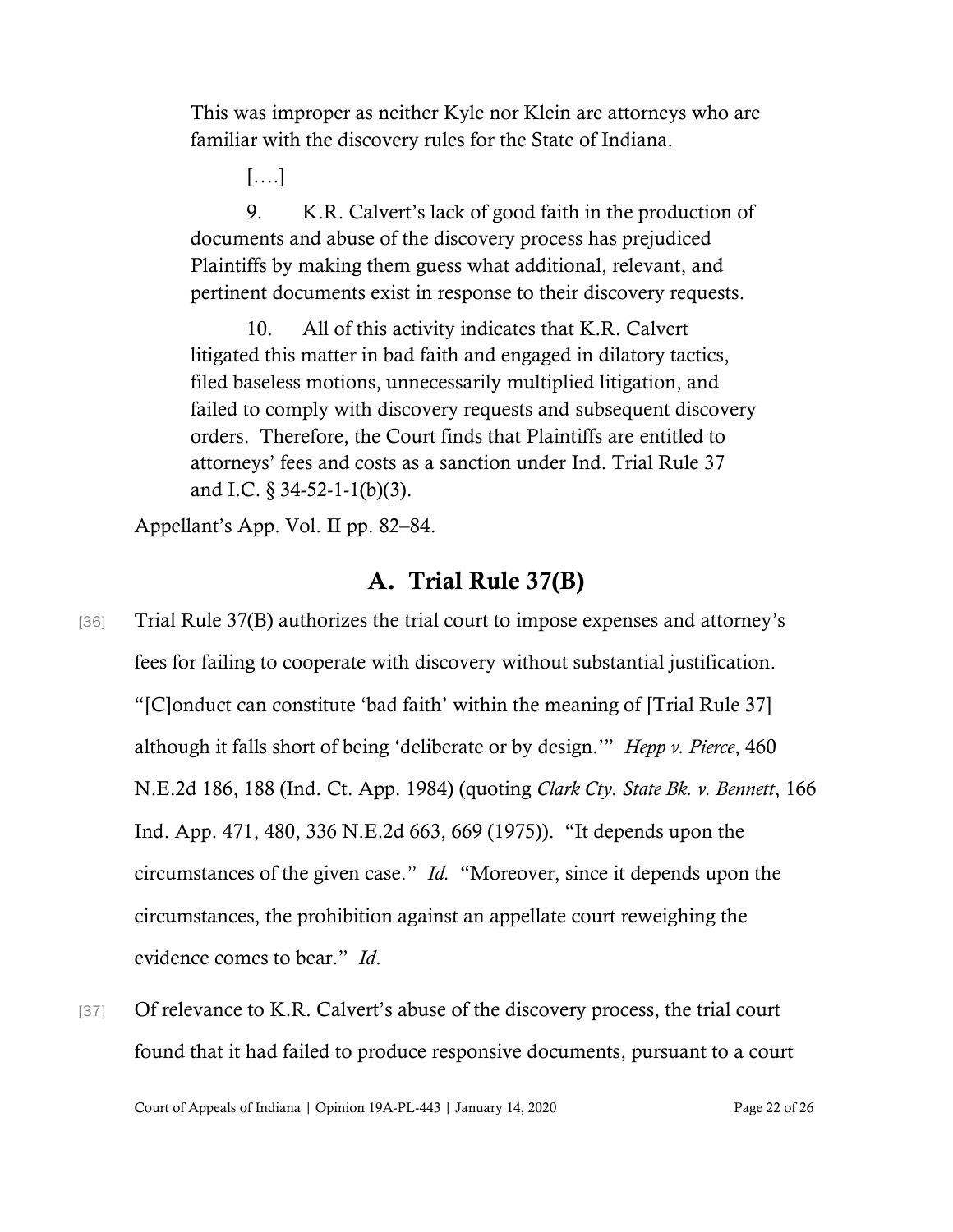This was improper as neither Kyle nor Klein are attorneys who are familiar with the discovery rules for the State of Indiana.

[….]

9. K.R. Calvert's lack of good faith in the production of documents and abuse of the discovery process has prejudiced Plaintiffs by making them guess what additional, relevant, and pertinent documents exist in response to their discovery requests.

10. All of this activity indicates that K.R. Calvert litigated this matter in bad faith and engaged in dilatory tactics, filed baseless motions, unnecessarily multiplied litigation, and failed to comply with discovery requests and subsequent discovery orders. Therefore, the Court finds that Plaintiffs are entitled to attorneys' fees and costs as a sanction under Ind. Trial Rule 37 and I.C. § 34-52-1-1(b)(3).

Appellant's App. Vol. II pp. 82–84.

### A. Trial Rule 37(B)

- [36] Trial Rule 37(B) authorizes the trial court to impose expenses and attorney's fees for failing to cooperate with discovery without substantial justification. "[C]onduct can constitute 'bad faith' within the meaning of [Trial Rule 37] although it falls short of being 'deliberate or by design.'" *Hepp v. Pierce*, 460 N.E.2d 186, 188 (Ind. Ct. App. 1984) (quoting *Clark Cty. State Bk. v. Bennett*, 166 Ind. App. 471, 480, 336 N.E.2d 663, 669 (1975)). "It depends upon the circumstances of the given case." *Id.* "Moreover, since it depends upon the circumstances, the prohibition against an appellate court reweighing the evidence comes to bear." *Id*.
- [37] Of relevance to K.R. Calvert's abuse of the discovery process, the trial court found that it had failed to produce responsive documents, pursuant to a court

Court of Appeals of Indiana | Opinion 19A-PL-443 | January 14, 2020 Page 22 of 26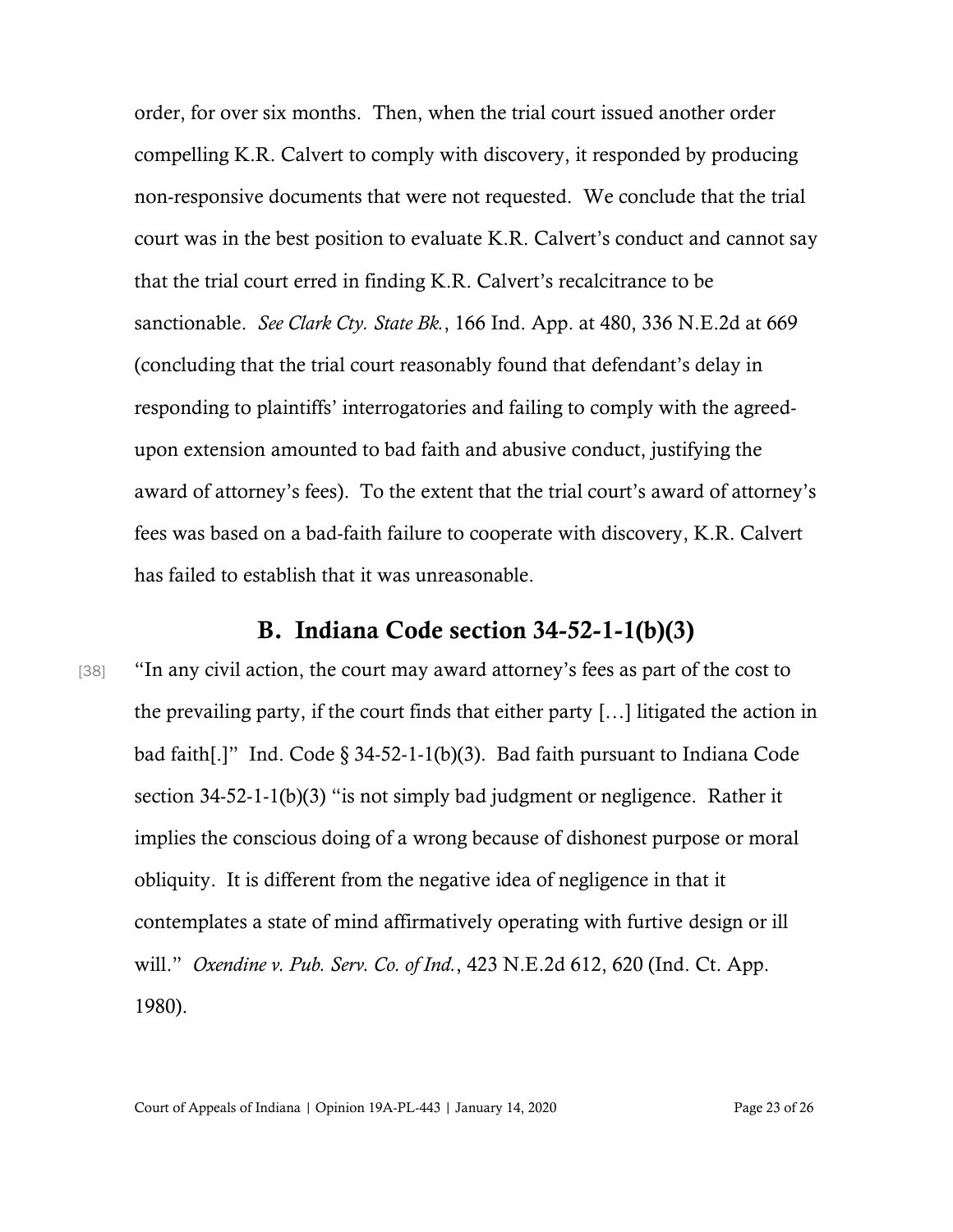order, for over six months. Then, when the trial court issued another order compelling K.R. Calvert to comply with discovery, it responded by producing non-responsive documents that were not requested. We conclude that the trial court was in the best position to evaluate K.R. Calvert's conduct and cannot say that the trial court erred in finding K.R. Calvert's recalcitrance to be sanctionable. *See Clark Cty. State Bk.*, 166 Ind. App. at 480, 336 N.E.2d at 669 (concluding that the trial court reasonably found that defendant's delay in responding to plaintiffs' interrogatories and failing to comply with the agreedupon extension amounted to bad faith and abusive conduct, justifying the award of attorney's fees). To the extent that the trial court's award of attorney's fees was based on a bad-faith failure to cooperate with discovery, K.R. Calvert has failed to establish that it was unreasonable.

#### B. Indiana Code section 34-52-1-1(b)(3)

[38] "In any civil action, the court may award attorney's fees as part of the cost to the prevailing party, if the court finds that either party […] litigated the action in bad faith[.]" Ind. Code § 34-52-1-1(b)(3). Bad faith pursuant to Indiana Code section 34-52-1-1(b)(3) "is not simply bad judgment or negligence. Rather it implies the conscious doing of a wrong because of dishonest purpose or moral obliquity. It is different from the negative idea of negligence in that it contemplates a state of mind affirmatively operating with furtive design or ill will." *Oxendine v. Pub. Serv. Co. of Ind.*, 423 N.E.2d 612, 620 (Ind. Ct. App. 1980).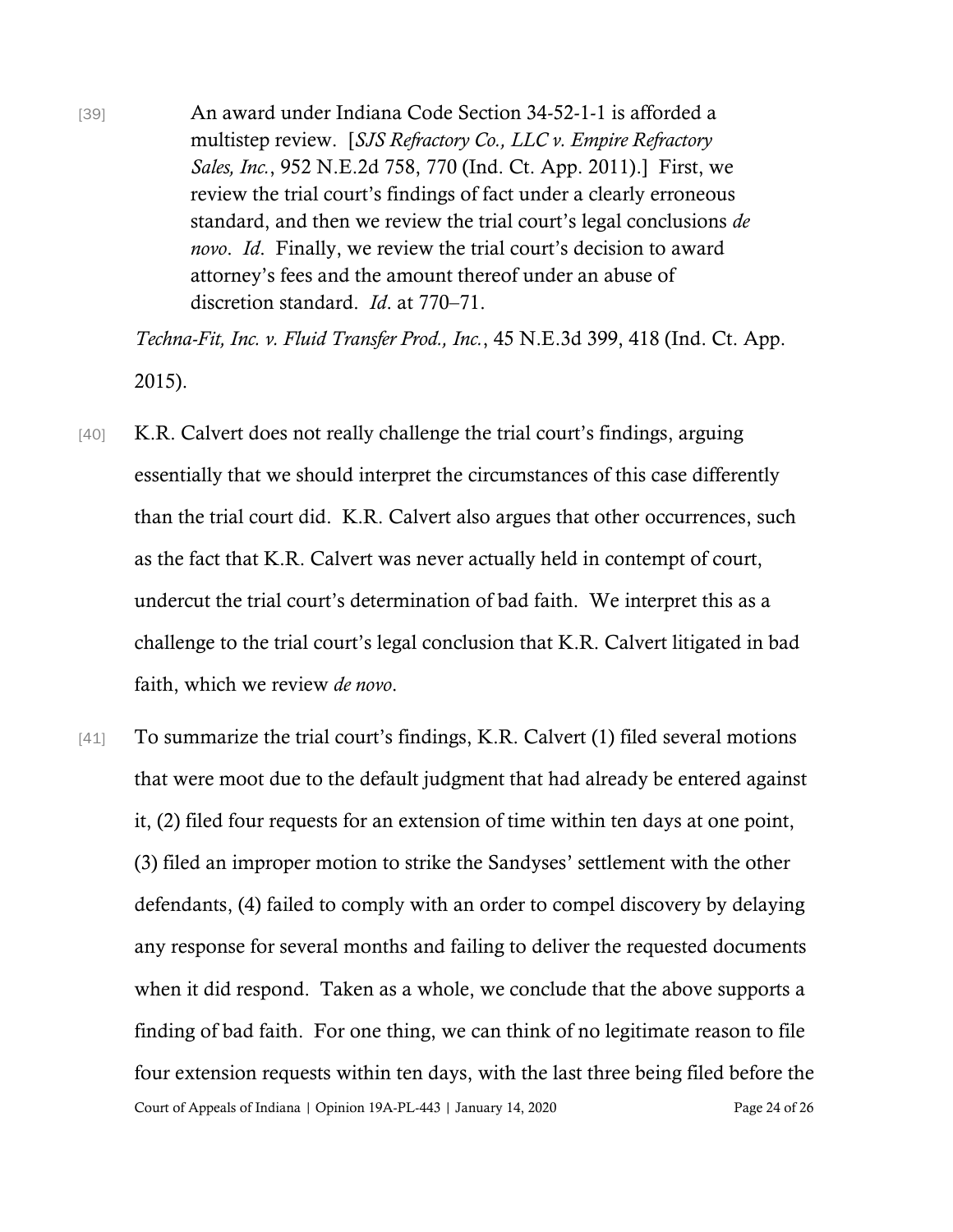[39] An award under Indiana Code Section 34-52-1-1 is afforded a multistep review. [*SJS Refractory Co., LLC v. Empire Refractory Sales, Inc.*, 952 N.E.2d 758, 770 (Ind. Ct. App. 2011).] First, we review the trial court's findings of fact under a clearly erroneous standard, and then we review the trial court's legal conclusions *de novo*. *Id*. Finally, we review the trial court's decision to award attorney's fees and the amount thereof under an abuse of discretion standard. *Id*. at 770–71.

*Techna-Fit, Inc. v. Fluid Transfer Prod., Inc.*, 45 N.E.3d 399, 418 (Ind. Ct. App. 2015).

- [40] K.R. Calvert does not really challenge the trial court's findings, arguing essentially that we should interpret the circumstances of this case differently than the trial court did. K.R. Calvert also argues that other occurrences, such as the fact that K.R. Calvert was never actually held in contempt of court, undercut the trial court's determination of bad faith. We interpret this as a challenge to the trial court's legal conclusion that K.R. Calvert litigated in bad faith, which we review *de novo*.
- Court of Appeals of Indiana | Opinion 19A-PL-443 | January 14, 2020 Page 24 of 26 [41] To summarize the trial court's findings, K.R. Calvert (1) filed several motions that were moot due to the default judgment that had already be entered against it, (2) filed four requests for an extension of time within ten days at one point, (3) filed an improper motion to strike the Sandyses' settlement with the other defendants, (4) failed to comply with an order to compel discovery by delaying any response for several months and failing to deliver the requested documents when it did respond. Taken as a whole, we conclude that the above supports a finding of bad faith. For one thing, we can think of no legitimate reason to file four extension requests within ten days, with the last three being filed before the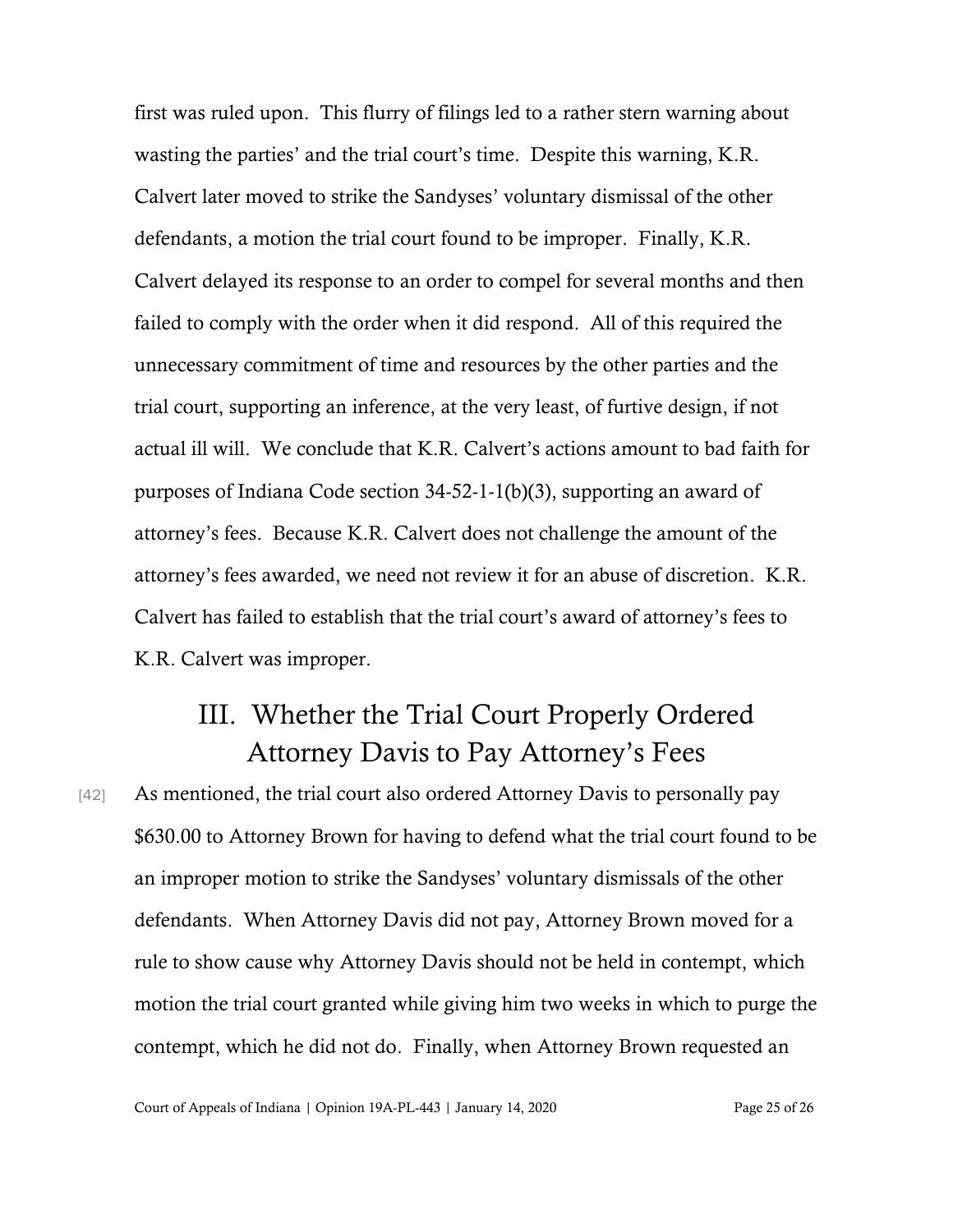first was ruled upon. This flurry of filings led to a rather stern warning about wasting the parties' and the trial court's time. Despite this warning, K.R. Calvert later moved to strike the Sandyses' voluntary dismissal of the other defendants, a motion the trial court found to be improper. Finally, K.R. Calvert delayed its response to an order to compel for several months and then failed to comply with the order when it did respond. All of this required the unnecessary commitment of time and resources by the other parties and the trial court, supporting an inference, at the very least, of furtive design, if not actual ill will. We conclude that K.R. Calvert's actions amount to bad faith for purposes of Indiana Code section 34-52-1-1(b)(3), supporting an award of attorney's fees. Because K.R. Calvert does not challenge the amount of the attorney's fees awarded, we need not review it for an abuse of discretion. K.R. Calvert has failed to establish that the trial court's award of attorney's fees to K.R. Calvert was improper.

## III. Whether the Trial Court Properly Ordered Attorney Davis to Pay Attorney's Fees

[42] As mentioned, the trial court also ordered Attorney Davis to personally pay \$630.00 to Attorney Brown for having to defend what the trial court found to be an improper motion to strike the Sandyses' voluntary dismissals of the other defendants. When Attorney Davis did not pay, Attorney Brown moved for a rule to show cause why Attorney Davis should not be held in contempt, which motion the trial court granted while giving him two weeks in which to purge the contempt, which he did not do. Finally, when Attorney Brown requested an